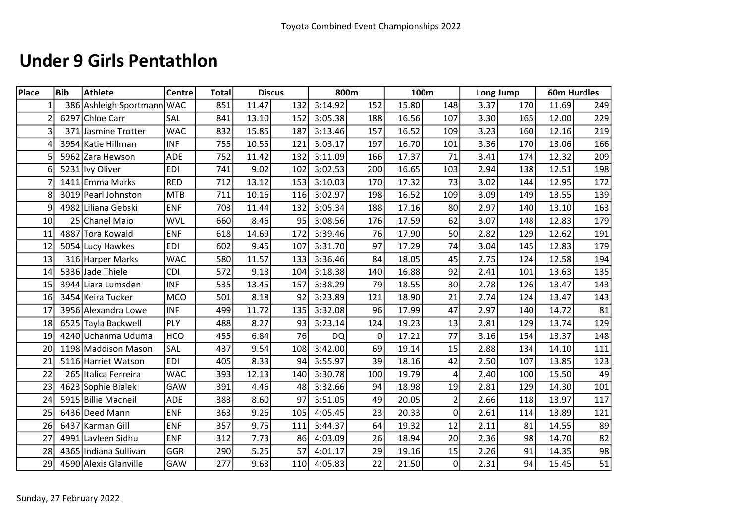#### Under 9 Girls Pentathlon

| Place           | Bib | Athlete                    | Centre     | <b>Total</b> |       | <b>Discus</b> | 800m      |                 |       | 100m           |      | Long Jump |       | <b>60m Hurdles</b> |
|-----------------|-----|----------------------------|------------|--------------|-------|---------------|-----------|-----------------|-------|----------------|------|-----------|-------|--------------------|
| $\mathbf{1}$    |     | 386 Ashleigh Sportmann WAC |            | 851          | 11.47 | 132           | 3:14.92   | 152             | 15.80 | 148            | 3.37 | 170       | 11.69 | 249                |
| 2               |     | 6297 Chloe Carr            | SAL        | 841          | 13.10 | 152           | 3:05.38   | 188             | 16.56 | 107            | 3.30 | 165       | 12.00 | 229                |
| 3               |     | 371 Jasmine Trotter        | <b>WAC</b> | 832          | 15.85 | 187           | 3:13.46   | 157             | 16.52 | 109            | 3.23 | 160       | 12.16 | 219                |
| 4               |     | 3954 Katie Hillman         | <b>INF</b> | 755          | 10.55 | 121           | 3:03.17   | 197             | 16.70 | 101            | 3.36 | 170       | 13.06 | 166                |
| 5               |     | 5962 Zara Hewson           | ADE        | 752          | 11.42 | 132           | 3:11.09   | 166             | 17.37 | 71             | 3.41 | 174       | 12.32 | 209                |
| 6               |     | 5231 lvy Oliver            | <b>EDI</b> | 741          | 9.02  | 102           | 3:02.53   | 200             | 16.65 | 103            | 2.94 | 138       | 12.51 | 198                |
| 7               |     | 1411 Emma Marks            | <b>RED</b> | 712          | 13.12 | 153           | 3:10.03   | 170             | 17.32 | 73             | 3.02 | 144       | 12.95 | 172                |
| 8               |     | 3019 Pearl Johnston        | <b>MTB</b> | 711          | 10.16 | 116           | 3:02.97   | 198             | 16.52 | 109            | 3.09 | 149       | 13.55 | 139                |
| 9               |     | 4982 Liliana Gebski        | <b>ENF</b> | 703          | 11.44 | 132           | 3:05.34   | 188             | 17.16 | 80             | 2.97 | 140       | 13.10 | 163                |
| 10 <sup>1</sup> |     | 25 Chanel Maio             | <b>WVL</b> | 660          | 8.46  | 95            | 3:08.56   | 176             | 17.59 | 62             | 3.07 | 148       | 12.83 | 179                |
| 11              |     | 4887 Tora Kowald           | <b>ENF</b> | 618          | 14.69 | 172           | 3:39.46   | 76              | 17.90 | 50             | 2.82 | 129       | 12.62 | 191                |
| 12              |     | 5054 Lucy Hawkes           | <b>EDI</b> | 602          | 9.45  | 107           | 3:31.70   | 97              | 17.29 | 74             | 3.04 | 145       | 12.83 | 179                |
| 13              |     | 316 Harper Marks           | <b>WAC</b> | 580          | 11.57 | 133           | 3:36.46   | 84              | 18.05 | 45             | 2.75 | 124       | 12.58 | 194                |
| 14              |     | 5336 Jade Thiele           | <b>CDI</b> | 572          | 9.18  | 104           | 3:18.38   | 140             | 16.88 | 92             | 2.41 | 101       | 13.63 | 135                |
| 15              |     | 3944 Liara Lumsden         | <b>INF</b> | 535          | 13.45 | 157           | 3:38.29   | 79              | 18.55 | 30             | 2.78 | 126       | 13.47 | 143                |
| 16              |     | 3454 Keira Tucker          | <b>MCO</b> | 501          | 8.18  | 92            | 3:23.89   | 121             | 18.90 | 21             | 2.74 | 124       | 13.47 | 143                |
| 17              |     | 3956 Alexandra Lowe        | <b>INF</b> | 499          | 11.72 | 135           | 3:32.08   | 96              | 17.99 | 47             | 2.97 | 140       | 14.72 | 81                 |
| 18              |     | 6525 Tayla Backwell        | PLY        | 488          | 8.27  | 93            | 3:23.14   | 124             | 19.23 | 13             | 2.81 | 129       | 13.74 | 129                |
| 19              |     | 4240 Uchanma Uduma         | <b>HCO</b> | 455          | 6.84  | 76            | <b>DQ</b> | $\mathbf{0}$    | 17.21 | 77             | 3.16 | 154       | 13.37 | 148                |
| 20              |     | 1198 Maddison Mason        | SAL        | 437          | 9.54  | 108           | 3:42.00   | 69              | 19.14 | 15             | 2.88 | 134       | 14.10 | 111                |
| 21              |     | 5116 Harriet Watson        | <b>EDI</b> | 405          | 8.33  | 94            | 3:55.97   | 39              | 18.16 | 42             | 2.50 | 107       | 13.85 | 123                |
| 22              |     | 265 Italica Ferreira       | <b>WAC</b> | 393          | 12.13 | 140           | 3:30.78   | 100             | 19.79 | 4              | 2.40 | 100       | 15.50 | 49                 |
| 23              |     | 4623 Sophie Bialek         | GAW        | 391          | 4.46  | 48            | 3:32.66   | 94              | 18.98 | 19             | 2.81 | 129       | 14.30 | 101                |
| 24              |     | 5915 Billie Macneil        | <b>ADE</b> | 383          | 8.60  | 97            | 3:51.05   | 49              | 20.05 | $\overline{2}$ | 2.66 | 118       | 13.97 | 117                |
| 25              |     | 6436 Deed Mann             | <b>ENF</b> | 363          | 9.26  | 105           | 4:05.45   | 23              | 20.33 | 0              | 2.61 | 114       | 13.89 | 121                |
| 26              |     | 6437 Karman Gill           | <b>ENF</b> | 357          | 9.75  | 111           | 3:44.37   | 64              | 19.32 | 12             | 2.11 | 81        | 14.55 | 89                 |
| 27              |     | 4991 Lavleen Sidhu         | <b>ENF</b> | 312          | 7.73  | 86            | 4:03.09   | 26              | 18.94 | 20             | 2.36 | 98        | 14.70 | 82                 |
| 28              |     | 4365 Indiana Sullivan      | GGR        | 290          | 5.25  | 57            | 4:01.17   | 29              | 19.16 | 15             | 2.26 | 91        | 14.35 | 98                 |
| 29              |     | 4590 Alexis Glanville      | GAW        | 277          | 9.63  | 110           | 4:05.83   | $\overline{22}$ | 21.50 | 0              | 2.31 | 94        | 15.45 | 51                 |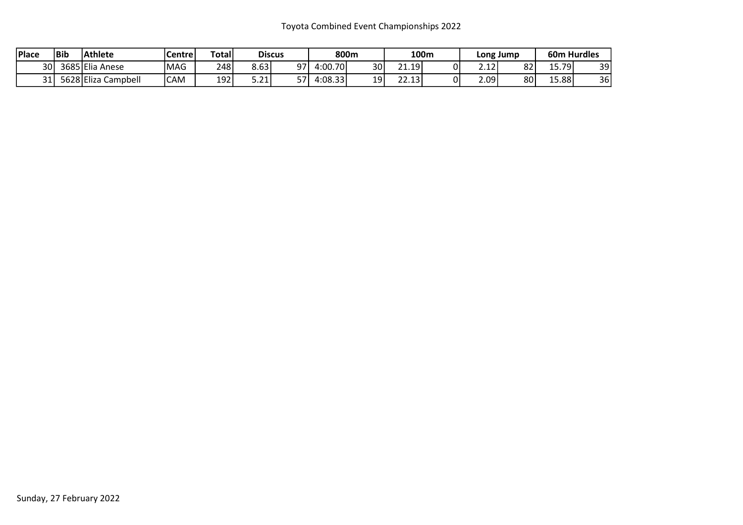| <sup>1</sup> Place | Bib | Athlete             | Centre      | <b>Total</b> |                     | <b>Discus</b> |          | 800m            |                  | 100m |                | Long Jump |        | <b>60m Hurdles</b> |
|--------------------|-----|---------------------|-------------|--------------|---------------------|---------------|----------|-----------------|------------------|------|----------------|-----------|--------|--------------------|
| 30 <sup>1</sup>    |     | 3685 Elia Anese     | <b>IMAG</b> | 248          | 8.63                | 97            | 4:00.70  | 30 <sub>l</sub> | 21.19'           |      | ו היה<br>2. LZ | 82        | 15.79' | 39                 |
| 31                 |     | 5628 Eliza Campbell | <b>CAM</b>  | 192          | <b>COM</b><br>⊥ ∠.ر | 57            | 4:08.33' | 19              | $\sim$<br>22.13' |      | 2.09           | 80        | ا88.دـ | 36                 |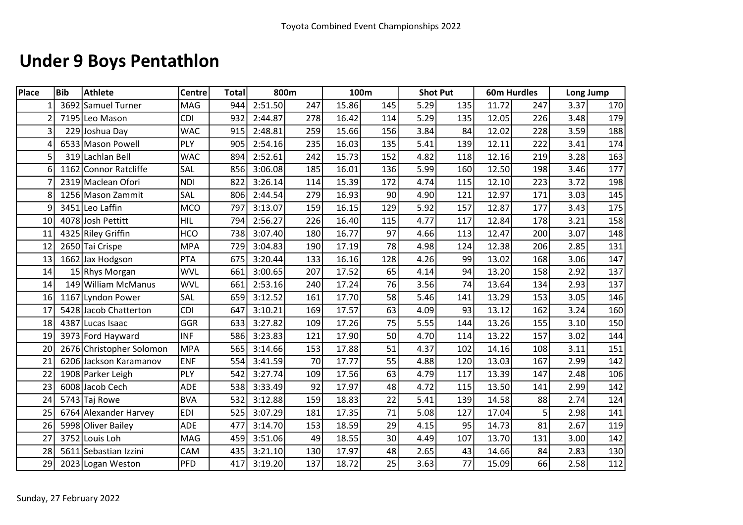# Under 9 Boys Pentathlon

| Place | <b>Bib</b> | <b>Athlete</b>           | <b>Centre</b> | <b>Total</b> |         | 800m |       | 100m            |      | <b>Shot Put</b> |       | <b>60m Hurdles</b> | Long Jump |     |
|-------|------------|--------------------------|---------------|--------------|---------|------|-------|-----------------|------|-----------------|-------|--------------------|-----------|-----|
|       |            | 3692 Samuel Turner       | <b>MAG</b>    | 944          | 2:51.50 | 247  | 15.86 | 145             | 5.29 | 135             | 11.72 | 247                | 3.37      | 170 |
|       |            | 7195 Leo Mason           | <b>CDI</b>    | 932          | 2:44.87 | 278  | 16.42 | 114             | 5.29 | 135             | 12.05 | 226                | 3.48      | 179 |
| 3     |            | 229 Joshua Day           | <b>WAC</b>    | 915          | 2:48.81 | 259  | 15.66 | 156             | 3.84 | 84              | 12.02 | 228                | 3.59      | 188 |
|       |            | 6533 Mason Powell        | PLY           | 905          | 2:54.16 | 235  | 16.03 | 135             | 5.41 | 139             | 12.11 | 222                | 3.41      | 174 |
| 5     |            | 319 Lachlan Bell         | <b>WAC</b>    | 894          | 2:52.61 | 242  | 15.73 | 152             | 4.82 | 118             | 12.16 | 219                | 3.28      | 163 |
| 6     |            | 1162 Connor Ratcliffe    | SAL           | 856          | 3:06.08 | 185  | 16.01 | 136             | 5.99 | 160             | 12.50 | 198                | 3.46      | 177 |
|       |            | 2319 Maclean Ofori       | <b>NDI</b>    | 822          | 3:26.14 | 114  | 15.39 | 172             | 4.74 | 115             | 12.10 | 223                | 3.72      | 198 |
| 8     |            | 1256 Mason Zammit        | SAL           | 806          | 2:44.54 | 279  | 16.93 | 90              | 4.90 | 121             | 12.97 | 171                | 3.03      | 145 |
| 9     |            | 3451 Leo Laffin          | <b>MCO</b>    | 797          | 3:13.07 | 159  | 16.15 | 129             | 5.92 | 157             | 12.87 | 177                | 3.43      | 175 |
| 10    |            | 4078 Josh Pettitt        | <b>HIL</b>    | 794          | 2:56.27 | 226  | 16.40 | 115             | 4.77 | 117             | 12.84 | 178                | 3.21      | 158 |
| 11    |            | 4325 Riley Griffin       | <b>HCO</b>    | 738          | 3:07.40 | 180  | 16.77 | 97              | 4.66 | 113             | 12.47 | 200                | 3.07      | 148 |
| 12    |            | 2650 Tai Crispe          | <b>MPA</b>    | 729          | 3:04.83 | 190  | 17.19 | 78              | 4.98 | 124             | 12.38 | 206                | 2.85      | 131 |
| 13    |            | 1662 Jax Hodgson         | <b>PTA</b>    | 675          | 3:20.44 | 133  | 16.16 | 128             | 4.26 | 99              | 13.02 | 168                | 3.06      | 147 |
| 14    |            | 15 Rhys Morgan           | <b>WVL</b>    | 661          | 3:00.65 | 207  | 17.52 | 65              | 4.14 | 94              | 13.20 | 158                | 2.92      | 137 |
| 14    |            | 149 William McManus      | <b>WVL</b>    | 661          | 2:53.16 | 240  | 17.24 | 76              | 3.56 | 74              | 13.64 | 134                | 2.93      | 137 |
| 16    |            | 1167 Lyndon Power        | SAL           | 659          | 3:12.52 | 161  | 17.70 | 58              | 5.46 | 141             | 13.29 | 153                | 3.05      | 146 |
| 17    |            | 5428 Jacob Chatterton    | <b>CDI</b>    | 647          | 3:10.21 | 169  | 17.57 | 63              | 4.09 | 93              | 13.12 | 162                | 3.24      | 160 |
| 18    |            | 4387 Lucas Isaac         | GGR           | 633          | 3:27.82 | 109  | 17.26 | 75              | 5.55 | 144             | 13.26 | 155                | 3.10      | 150 |
| 19    |            | 3973 Ford Hayward        | <b>INF</b>    | 586          | 3:23.83 | 121  | 17.90 | 50              | 4.70 | 114             | 13.22 | 157                | 3.02      | 144 |
| 20    |            | 2676 Christopher Solomon | <b>MPA</b>    | 565          | 3:14.66 | 153  | 17.88 | 51              | 4.37 | 102             | 14.16 | 108                | 3.11      | 151 |
| 21    |            | 6206 Jackson Karamanov   | <b>ENF</b>    | 554          | 3:41.59 | 70   | 17.77 | $\overline{55}$ | 4.88 | 120             | 13.03 | 167                | 2.99      | 142 |
| 22    |            | 1908 Parker Leigh        | PLY           | 542          | 3:27.74 | 109  | 17.56 | 63              | 4.79 | 117             | 13.39 | 147                | 2.48      | 106 |
| 23    |            | 6008 Jacob Cech          | <b>ADE</b>    | 538          | 3:33.49 | 92   | 17.97 | 48              | 4.72 | 115             | 13.50 | 141                | 2.99      | 142 |
| 24    |            | 5743 Taj Rowe            | <b>BVA</b>    | 532          | 3:12.88 | 159  | 18.83 | 22              | 5.41 | 139             | 14.58 | 88                 | 2.74      | 124 |
| 25    |            | 6764 Alexander Harvey    | <b>EDI</b>    | 525          | 3:07.29 | 181  | 17.35 | 71              | 5.08 | 127             | 17.04 | 5                  | 2.98      | 141 |
| 26    |            | 5998 Oliver Bailey       | <b>ADE</b>    | 477          | 3:14.70 | 153  | 18.59 | 29              | 4.15 | 95              | 14.73 | 81                 | 2.67      | 119 |
| 27    |            | 3752 Louis Loh           | MAG           | 459          | 3:51.06 | 49   | 18.55 | 30              | 4.49 | 107             | 13.70 | 131                | 3.00      | 142 |
| 28    |            | 5611 Sebastian Izzini    | CAM           | 435          | 3:21.10 | 130  | 17.97 | 48              | 2.65 | 43              | 14.66 | 84                 | 2.83      | 130 |
| 29    |            | 2023 Logan Weston        | PFD           | 417          | 3:19.20 | 137  | 18.72 | $\overline{25}$ | 3.63 | 77              | 15.09 | 66                 | 2.58      | 112 |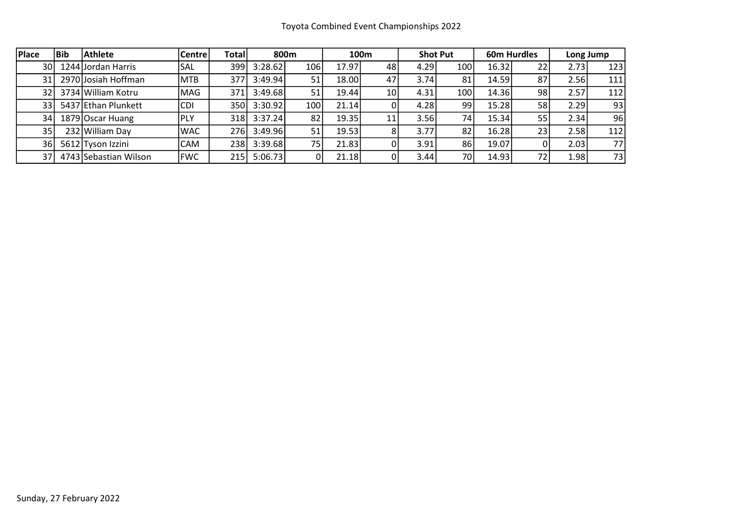| Place           | l Bib | <b>Athlete</b>        | <b>Centre</b> | Totall |         | 800 <sub>m</sub> |       | 100m            |      | <b>Shot Put</b> |       | 60m Hurdles |       | Long Jump |
|-----------------|-------|-----------------------|---------------|--------|---------|------------------|-------|-----------------|------|-----------------|-------|-------------|-------|-----------|
| 30 l            |       | 1244 Jordan Harris    | SAL           | 399    | 3:28.62 | 106              | 17.97 | 48              | 4.29 | 100             | 16.32 | 22          | 2.731 | 123       |
| 31              |       | 2970 Josiah Hoffman   | <b>MTB</b>    | 377    | 3:49.94 | 51               | 18.00 | 47              | 3.74 | 81              | 14.59 | 87          | 2.56  | 111       |
| 32 I            |       | 3734 William Kotru    | MAG           | 371    | 3:49.68 | 51               | 19.44 | 10 <sup>1</sup> | 4.31 | 100             | 14.36 | 98          | 2.57  | 112       |
| 33 I            |       | 5437 Ethan Plunkett   | <b>CDI</b>    | 350l   | 3:30.92 | 100              | 21.14 |                 | 4.28 | 99              | 15.28 | 58          | 2.29  | 93        |
| 34              |       | 1879 Oscar Huang      | IPLY          | 318 l  | 3:37.24 | 82               | 19.35 | 11              | 3.56 | 74              | 15.34 | 55          | 2.34  | 96        |
| 35              |       | 232 William Day       | <b>WAC</b>    | 276I   | 3:49.96 | 51               | 19.53 | 8               | 3.77 | 82              | 16.28 | 23          | 2.58  | 112       |
| 36              |       | 5612 Tyson Izzini     | CAM           | 238    | 3:39.68 | 75 <sub>1</sub>  | 21.83 |                 | 3.91 | 86              | 19.07 |             | 2.03  | 77        |
| 37 <sup>1</sup> |       | 4743 Sebastian Wilson | <b>FWC</b>    | 2151   | 5:06.73 |                  | 21.18 |                 | 3.44 | 70              | 14.93 | 72          | 1.98  | 73        |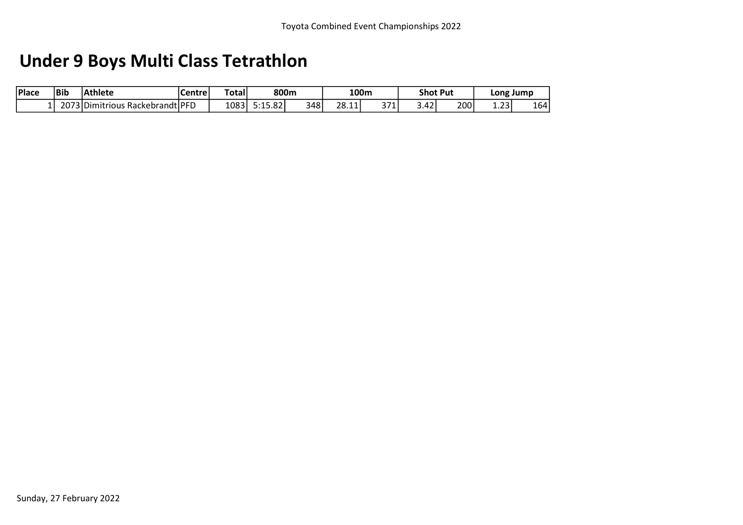# Under 9 Boys Multi Class Tetrathlon

| Place | <b>Bib</b> | <b>Athlete</b>                | Centre | [Total | 800m                            |     | 100m  |              |      | <b>Shot Put</b> | Long           | Jump |
|-------|------------|-------------------------------|--------|--------|---------------------------------|-----|-------|--------------|------|-----------------|----------------|------|
|       | 2073       | 73 Dimitrious Rackebrandt PFD |        | 1083   | $\sim$<br><b>CAC</b><br>5:15.82 | 348 | 28.11 | 371<br>J / L | 3.42 | 200             | $\sim$<br>⊥.∠J | 164  |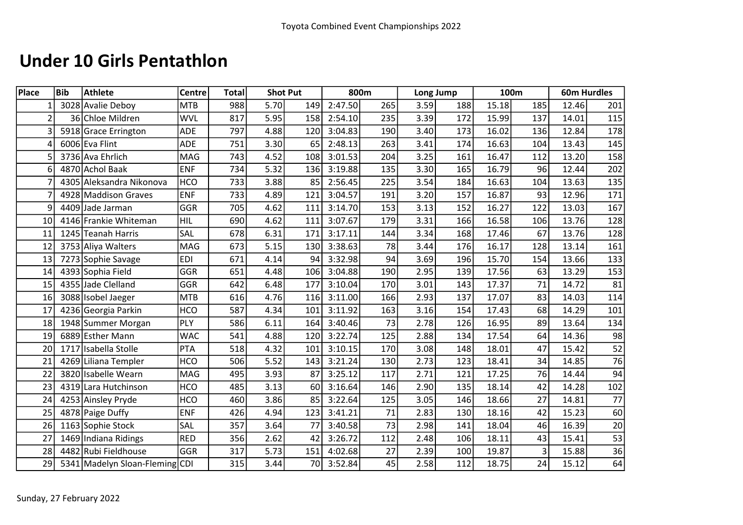### Under 10 Girls Pentathlon

| <b>Place</b>   | <b>Bib</b> | <b>Athlete</b>                 | Centre     | <b>Total</b> |      | <b>Shot Put</b> |         | 800m |      | Long Jump | 100m  |     | <b>60m Hurdles</b> |     |
|----------------|------------|--------------------------------|------------|--------------|------|-----------------|---------|------|------|-----------|-------|-----|--------------------|-----|
| $1\vert$       |            | 3028 Avalie Deboy              | <b>MTB</b> | 988          | 5.70 | 149             | 2:47.50 | 265  | 3.59 | 188       | 15.18 | 185 | 12.46              | 201 |
| $\overline{2}$ |            | 36 Chloe Mildren               | <b>WVL</b> | 817          | 5.95 | 158             | 2:54.10 | 235  | 3.39 | 172       | 15.99 | 137 | 14.01              | 115 |
| 3              |            | 5918 Grace Errington           | ADE        | 797          | 4.88 | 120             | 3:04.83 | 190  | 3.40 | 173       | 16.02 | 136 | 12.84              | 178 |
|                |            | 6006 Eva Flint                 | <b>ADE</b> | 751          | 3.30 | 65              | 2:48.13 | 263  | 3.41 | 174       | 16.63 | 104 | 13.43              | 145 |
|                |            | 3736 Ava Ehrlich               | MAG        | 743          | 4.52 | 108             | 3:01.53 | 204  | 3.25 | 161       | 16.47 | 112 | 13.20              | 158 |
| 6              |            | 4870 Achol Baak                | <b>ENF</b> | 734          | 5.32 | 136             | 3:19.88 | 135  | 3.30 | 165       | 16.79 | 96  | 12.44              | 202 |
|                |            | 4305 Aleksandra Nikonova       | <b>HCO</b> | 733          | 3.88 | 85              | 2:56.45 | 225  | 3.54 | 184       | 16.63 | 104 | 13.63              | 135 |
|                |            | 4928 Maddison Graves           | <b>ENF</b> | 733          | 4.89 | 121             | 3:04.57 | 191  | 3.20 | 157       | 16.87 | 93  | 12.96              | 171 |
| 9              |            | 4409 Jade Jarman               | GGR        | 705          | 4.62 | 111             | 3:14.70 | 153  | 3.13 | 152       | 16.27 | 122 | 13.03              | 167 |
| 10             |            | 4146 Frankie Whiteman          | <b>HIL</b> | 690          | 4.62 | 111             | 3:07.67 | 179  | 3.31 | 166       | 16.58 | 106 | 13.76              | 128 |
| 11             |            | 1245 Teanah Harris             | SAL        | 678          | 6.31 | 171             | 3:17.11 | 144  | 3.34 | 168       | 17.46 | 67  | 13.76              | 128 |
| 12             |            | 3753 Aliya Walters             | MAG        | 673          | 5.15 | 130             | 3:38.63 | 78   | 3.44 | 176       | 16.17 | 128 | 13.14              | 161 |
| 13             |            | 7273 Sophie Savage             | <b>EDI</b> | 671          | 4.14 | 94              | 3:32.98 | 94   | 3.69 | 196       | 15.70 | 154 | 13.66              | 133 |
| 14             |            | 4393 Sophia Field              | GGR        | 651          | 4.48 | 106             | 3:04.88 | 190  | 2.95 | 139       | 17.56 | 63  | 13.29              | 153 |
| 15             |            | 4355 Jade Clelland             | GGR        | 642          | 6.48 | 177             | 3:10.04 | 170  | 3.01 | 143       | 17.37 | 71  | 14.72              | 81  |
| 16             |            | 3088 Isobel Jaeger             | <b>MTB</b> | 616          | 4.76 | 116             | 3:11.00 | 166  | 2.93 | 137       | 17.07 | 83  | 14.03              | 114 |
| 17             |            | 4236 Georgia Parkin            | <b>HCO</b> | 587          | 4.34 | 101             | 3:11.92 | 163  | 3.16 | 154       | 17.43 | 68  | 14.29              | 101 |
| 18             |            | 1948 Summer Morgan             | PLY        | 586          | 6.11 | 164             | 3:40.46 | 73   | 2.78 | 126       | 16.95 | 89  | 13.64              | 134 |
| 19             |            | 6889 Esther Mann               | <b>WAC</b> | 541          | 4.88 | 120             | 3:22.74 | 125  | 2.88 | 134       | 17.54 | 64  | 14.36              | 98  |
| 20             |            | 1717 Isabella Stolle           | <b>PTA</b> | 518          | 4.32 | 101             | 3:10.15 | 170  | 3.08 | 148       | 18.01 | 47  | 15.42              | 52  |
| 21             |            | 4269 Liliana Templer           | <b>HCO</b> | 506          | 5.52 | 143             | 3:21.24 | 130  | 2.73 | 123       | 18.41 | 34  | 14.85              | 76  |
| 22             |            | 3820 Isabelle Wearn            | MAG        | 495          | 3.93 | 87              | 3:25.12 | 117  | 2.71 | 121       | 17.25 | 76  | 14.44              | 94  |
| 23             |            | 4319 Lara Hutchinson           | <b>HCO</b> | 485          | 3.13 | 60              | 3:16.64 | 146  | 2.90 | 135       | 18.14 | 42  | 14.28              | 102 |
| 24             |            | 4253 Ainsley Pryde             | <b>HCO</b> | 460          | 3.86 | 85              | 3:22.64 | 125  | 3.05 | 146       | 18.66 | 27  | 14.81              | 77  |
| 25             |            | 4878 Paige Duffy               | <b>ENF</b> | 426          | 4.94 | 123             | 3:41.21 | 71   | 2.83 | 130       | 18.16 | 42  | 15.23              | 60  |
| 26             |            | 1163 Sophie Stock              | <b>SAL</b> | 357          | 3.64 | 77              | 3:40.58 | 73   | 2.98 | 141       | 18.04 | 46  | 16.39              | 20  |
| 27             |            | 1469 Indiana Ridings           | <b>RED</b> | 356          | 2.62 | 42              | 3:26.72 | 112  | 2.48 | 106       | 18.11 | 43  | 15.41              | 53  |
| 28             |            | 4482 Rubi Fieldhouse           | GGR        | 317          | 5.73 | 151             | 4:02.68 | 27   | 2.39 | 100       | 19.87 | 3   | 15.88              | 36  |
| 29             |            | 5341 Madelyn Sloan-Fleming CDI |            | 315          | 3.44 | 70              | 3:52.84 | 45   | 2.58 | 112       | 18.75 | 24  | 15.12              | 64  |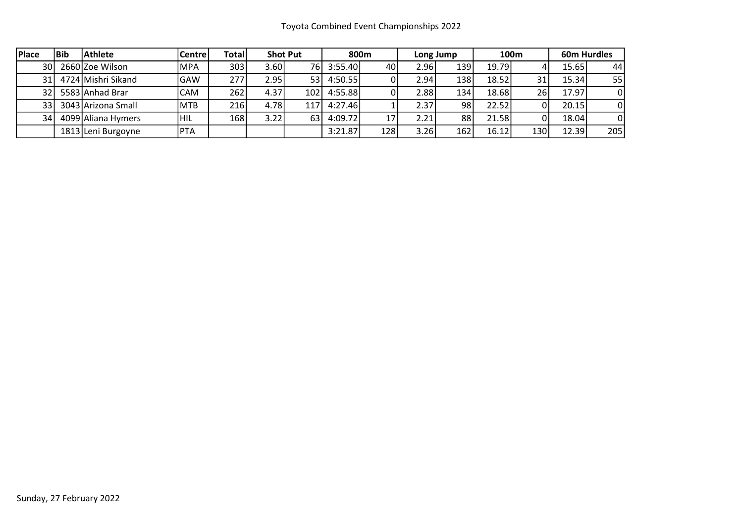| <b>Place</b> | l Bib | <b>Athlete</b>     | <b>Centre</b> | Total |       | <b>Shot Put</b> | 800m       |      |                   | Long Jump        | 100m   |     | <b>60m Hurdles</b> |          |
|--------------|-------|--------------------|---------------|-------|-------|-----------------|------------|------|-------------------|------------------|--------|-----|--------------------|----------|
| 30 l         |       | 2660 Zoe Wilson    | <b>MPA</b>    | 303   | 3.60I |                 | 76 3:55.40 | 40 I | 2.96              | 139 <sub>1</sub> | 19.79l |     | 15.65              | 44       |
| 31 l         |       | 4724 Mishri Sikand | <b>GAW</b>    | 277   | 2.95  | 53 I            | 4:50.55    | 01   | 2.94              | 138              | 18.52  | 31  | 15.34              | 55       |
| 32 I         |       | 5583 Anhad Brar    | CAM           | 262   | 4.37  | 102             | 4:55.88    |      | 2.88 <sub>1</sub> | 134              | 18.68  | 26  | 17.97              | 0        |
| 33 I         |       | 3043 Arizona Small | MTB           | 216   | 4.78  | 117             | 4:27.46    |      | 2.37              | 98               | 22.52  |     | 20.15              | 0        |
| 34           |       | 4099 Aliana Hymers | HIL           | 168   | 3.22  | 63              | 4:09.72    | 17   | 2.21              | 88               | 21.58  |     | 18.04              | $\Omega$ |
|              |       | 1813 Leni Burgoyne | <b>PTA</b>    |       |       |                 | 3:21.87    | 128  | 3.26              | 162              | 16.12  | 130 | 12.39              | 205      |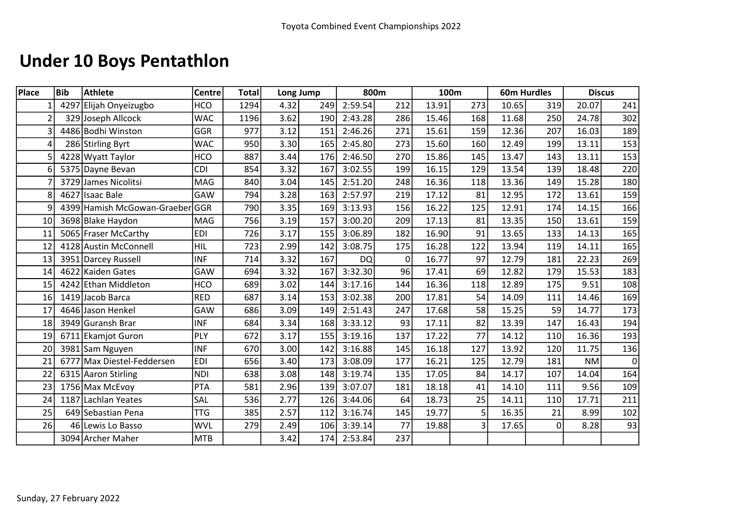# Under 10 Boys Pentathlon

| Place          | <b>Bib</b> | <b>Athlete</b>              | <b>Centre</b> | <b>Total</b> |      | Long Jump | 800m      |                | 100m  |     |       | <b>60m Hurdles</b> |           | <b>Discus</b> |
|----------------|------------|-----------------------------|---------------|--------------|------|-----------|-----------|----------------|-------|-----|-------|--------------------|-----------|---------------|
|                |            | 4297 Elijah Onyeizugbo      | <b>HCO</b>    | 1294         | 4.32 | 249       | 2:59.54   | 212            | 13.91 | 273 | 10.65 | 319                | 20.07     | 241           |
| $\overline{2}$ |            | 329 Joseph Allcock          | <b>WAC</b>    | 1196         | 3.62 | 190       | 2:43.28   | 286            | 15.46 | 168 | 11.68 | 250                | 24.78     | 302           |
| 3              |            | 4486 Bodhi Winston          | GGR           | 977          | 3.12 | 151       | 2:46.26   | 271            | 15.61 | 159 | 12.36 | 207                | 16.03     | 189           |
| 4              |            | 286 Stirling Byrt           | <b>WAC</b>    | 950          | 3.30 | 165       | 2:45.80   | 273            | 15.60 | 160 | 12.49 | 199                | 13.11     | 153           |
|                |            | 4228 Wyatt Taylor           | <b>HCO</b>    | 887          | 3.44 | 176       | 2:46.50   | 270            | 15.86 | 145 | 13.47 | 143                | 13.11     | 153           |
|                |            | 5375 Dayne Bevan            | <b>CDI</b>    | 854          | 3.32 | 167       | 3:02.55   | 199            | 16.15 | 129 | 13.54 | 139                | 18.48     | 220           |
|                |            | 3729 James Nicolitsi        | <b>MAG</b>    | 840          | 3.04 | 145       | 2:51.20   | 248            | 16.36 | 118 | 13.36 | 149                | 15.28     | 180           |
| 8              |            | 4627 Isaac Bale             | GAW           | 794          | 3.28 | 163       | 2:57.97   | 219            | 17.12 | 81  | 12.95 | 172                | 13.61     | 159           |
| q              |            | 4399 Hamish McGowan-Graeber | GGR           | 790          | 3.35 | 169       | 3:13.93   | 156            | 16.22 | 125 | 12.91 | 174                | 14.15     | 166           |
| 10             |            | 3698 Blake Haydon           | <b>MAG</b>    | 756          | 3.19 | 157       | 3:00.20   | 209            | 17.13 | 81  | 13.35 | 150                | 13.61     | 159           |
| 11             |            | 5065 Fraser McCarthy        | <b>EDI</b>    | 726          | 3.17 | 155       | 3:06.89   | 182            | 16.90 | 91  | 13.65 | 133                | 14.13     | 165           |
| 12             |            | 4128 Austin McConnell       | HIL           | 723          | 2.99 | 142       | 3:08.75   | 175            | 16.28 | 122 | 13.94 | 119                | 14.11     | 165           |
| 13             |            | 3951 Darcey Russell         | <b>INF</b>    | 714          | 3.32 | 167       | <b>DQ</b> | $\overline{0}$ | 16.77 | 97  | 12.79 | 181                | 22.23     | 269           |
| 14             |            | 4622 Kaiden Gates           | GAW           | 694          | 3.32 | 167       | 3:32.30   | 96             | 17.41 | 69  | 12.82 | 179                | 15.53     | 183           |
| 15             |            | 4242 Ethan Middleton        | <b>HCO</b>    | 689          | 3.02 | 144       | 3:17.16   | 144            | 16.36 | 118 | 12.89 | 175                | 9.51      | 108           |
| 16             |            | 1419 Jacob Barca            | <b>RED</b>    | 687          | 3.14 | 153       | 3:02.38   | 200            | 17.81 | 54  | 14.09 | 111                | 14.46     | 169           |
| 17             |            | 4646 Jason Henkel           | GAW           | 686          | 3.09 | 149       | 2:51.43   | 247            | 17.68 | 58  | 15.25 | 59                 | 14.77     | 173           |
| 18             |            | 3949 Guransh Brar           | <b>INF</b>    | 684          | 3.34 | 168       | 3:33.12   | 93             | 17.11 | 82  | 13.39 | 147                | 16.43     | 194           |
| 19             |            | 6711 Ekamjot Guron          | PLY           | 672          | 3.17 | 155       | 3:19.16   | 137            | 17.22 | 77  | 14.12 | 110                | 16.36     | 193           |
| 20             |            | 3981 Sam Nguyen             | <b>INF</b>    | 670          | 3.00 | 142       | 3:16.88   | 145            | 16.18 | 127 | 13.92 | 120                | 11.75     | 136           |
| 21             |            | 6777 Max Diestel-Feddersen  | <b>EDI</b>    | 656          | 3.40 | 173       | 3:08.09   | 177            | 16.21 | 125 | 12.79 | 181                | <b>NM</b> | 0             |
| 22             |            | 6315 Aaron Stirling         | <b>NDI</b>    | 638          | 3.08 | 148       | 3:19.74   | 135            | 17.05 | 84  | 14.17 | 107                | 14.04     | 164           |
| 23             |            | 1756 Max McEvoy             | <b>PTA</b>    | 581          | 2.96 | 139       | 3:07.07   | 181            | 18.18 | 41  | 14.10 | 111                | 9.56      | 109           |
| 24             |            | 1187 Lachlan Yeates         | SAL           | 536          | 2.77 | 126       | 3:44.06   | 64             | 18.73 | 25  | 14.11 | 110                | 17.71     | 211           |
| 25             |            | 649 Sebastian Pena          | <b>TTG</b>    | 385          | 2.57 | 112       | 3:16.74   | 145            | 19.77 | 5   | 16.35 | 21                 | 8.99      | 102           |
| 26             |            | 46 Lewis Lo Basso           | <b>WVL</b>    | 279          | 2.49 | 106       | 3:39.14   | 77             | 19.88 | 3   | 17.65 | 0                  | 8.28      | 93            |
|                |            | 3094 Archer Maher           | <b>MTB</b>    |              | 3.42 | 174       | 2:53.84   | 237            |       |     |       |                    |           |               |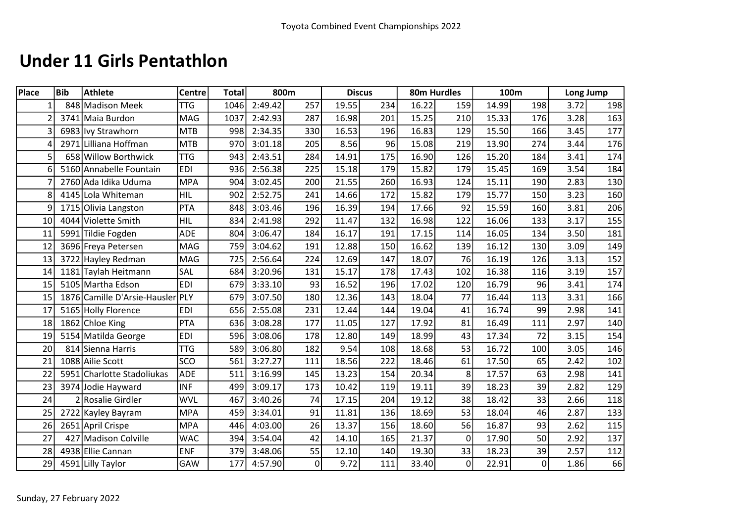### Under 11 Girls Pentathlon

| Place    | <b>Bib</b> | <b>Athlete</b>                   | <b>Centre</b> | <b>Total</b> |         | 800m           |       | <b>Discus</b> |       | 80m Hurdles | 100m  |                | Long Jump |     |
|----------|------------|----------------------------------|---------------|--------------|---------|----------------|-------|---------------|-------|-------------|-------|----------------|-----------|-----|
| $1\vert$ |            | 848 Madison Meek                 | <b>TTG</b>    | 1046         | 2:49.42 | 257            | 19.55 | 234           | 16.22 | 159         | 14.99 | 198            | 3.72      | 198 |
|          |            | 3741 Maia Burdon                 | <b>MAG</b>    | 1037         | 2:42.93 | 287            | 16.98 | 201           | 15.25 | 210         | 15.33 | 176            | 3.28      | 163 |
| 3        |            | 6983 Ivy Strawhorn               | <b>MTB</b>    | 998          | 2:34.35 | 330            | 16.53 | 196           | 16.83 | 129         | 15.50 | 166            | 3.45      | 177 |
|          |            | 2971 Lilliana Hoffman            | <b>MTB</b>    | 970          | 3:01.18 | 205            | 8.56  | 96            | 15.08 | 219         | 13.90 | 274            | 3.44      | 176 |
| 5        |            | 658 Willow Borthwick             | <b>TTG</b>    | 943          | 2:43.51 | 284            | 14.91 | 175           | 16.90 | 126         | 15.20 | 184            | 3.41      | 174 |
| 6        |            | 5160 Annabelle Fountain          | <b>EDI</b>    | 936          | 2:56.38 | 225            | 15.18 | 179           | 15.82 | 179         | 15.45 | 169            | 3.54      | 184 |
|          |            | 2760 Ada Idika Uduma             | <b>MPA</b>    | 904          | 3:02.45 | 200            | 21.55 | 260           | 16.93 | 124         | 15.11 | 190            | 2.83      | 130 |
| 8        |            | 4145 Lola Whiteman               | <b>HIL</b>    | 902          | 2:52.75 | 241            | 14.66 | 172           | 15.82 | 179         | 15.77 | 150            | 3.23      | 160 |
| 9        |            | 1715 Olivia Langston             | <b>PTA</b>    | 848          | 3:03.46 | 196            | 16.39 | 194           | 17.66 | 92          | 15.59 | 160            | 3.81      | 206 |
| 10       |            | 4044 Violette Smith              | <b>HIL</b>    | 834          | 2:41.98 | 292            | 11.47 | 132           | 16.98 | 122         | 16.06 | 133            | 3.17      | 155 |
| 11       |            | 5991 Tildie Fogden               | <b>ADE</b>    | 804          | 3:06.47 | 184            | 16.17 | 191           | 17.15 | 114         | 16.05 | 134            | 3.50      | 181 |
| 12       |            | 3696 Freya Petersen              | MAG           | 759          | 3:04.62 | 191            | 12.88 | 150           | 16.62 | 139         | 16.12 | 130            | 3.09      | 149 |
| 13       |            | 3722 Hayley Redman               | <b>MAG</b>    | 725          | 2:56.64 | 224            | 12.69 | 147           | 18.07 | 76          | 16.19 | 126            | 3.13      | 152 |
| 14       |            | 1181 Taylah Heitmann             | SAL           | 684          | 3:20.96 | 131            | 15.17 | 178           | 17.43 | 102         | 16.38 | 116            | 3.19      | 157 |
| 15       |            | 5105 Martha Edson                | <b>EDI</b>    | 679          | 3:33.10 | 93             | 16.52 | 196           | 17.02 | 120         | 16.79 | 96             | 3.41      | 174 |
| 15       |            | 1876 Camille D'Arsie-Hausler PLY |               | 679          | 3:07.50 | 180            | 12.36 | 143           | 18.04 | 77          | 16.44 | 113            | 3.31      | 166 |
| 17       |            | 5165 Holly Florence              | <b>EDI</b>    | 656          | 2:55.08 | 231            | 12.44 | 144           | 19.04 | 41          | 16.74 | 99             | 2.98      | 141 |
| 18       |            | 1862 Chloe King                  | <b>PTA</b>    | 636          | 3:08.28 | 177            | 11.05 | 127           | 17.92 | 81          | 16.49 | 111            | 2.97      | 140 |
| 19       |            | 5154 Matilda George              | <b>EDI</b>    | 596          | 3:08.06 | 178            | 12.80 | 149           | 18.99 | 43          | 17.34 | 72             | 3.15      | 154 |
| 20       |            | 814 Sienna Harris                | <b>TTG</b>    | 589          | 3:06.80 | 182            | 9.54  | 108           | 18.68 | 53          | 16.72 | 100            | 3.05      | 146 |
| 21       |            | 1088 Ailie Scott                 | SCO           | 561          | 3:27.27 | 111            | 18.56 | 222           | 18.46 | 61          | 17.50 | 65             | 2.42      | 102 |
| 22       |            | 5951 Charlotte Stadoliukas       | <b>ADE</b>    | 511          | 3:16.99 | 145            | 13.23 | 154           | 20.34 | 8           | 17.57 | 63             | 2.98      | 141 |
| 23       |            | 3974 Jodie Hayward               | <b>INF</b>    | 499          | 3:09.17 | 173            | 10.42 | 119           | 19.11 | 39          | 18.23 | 39             | 2.82      | 129 |
| 24       |            | 2 Rosalie Girdler                | <b>WVL</b>    | 467          | 3:40.26 | 74             | 17.15 | 204           | 19.12 | 38          | 18.42 | 33             | 2.66      | 118 |
| 25       |            | 2722 Kayley Bayram               | <b>MPA</b>    | 459          | 3:34.01 | 91             | 11.81 | 136           | 18.69 | 53          | 18.04 | 46             | 2.87      | 133 |
| 26       |            | 2651 April Crispe                | <b>MPA</b>    | 446          | 4:03.00 | 26             | 13.37 | 156           | 18.60 | 56          | 16.87 | 93             | 2.62      | 115 |
| 27       |            | 427 Madison Colville             | <b>WAC</b>    | 394          | 3:54.04 | 42             | 14.10 | 165           | 21.37 | $\mathbf 0$ | 17.90 | 50             | 2.92      | 137 |
| 28       |            | 4938 Ellie Cannan                | <b>ENF</b>    | 379          | 3:48.06 | 55             | 12.10 | 140           | 19.30 | 33          | 18.23 | 39             | 2.57      | 112 |
| 29       |            | 4591 Lilly Taylor                | GAW           | 177          | 4:57.90 | $\overline{0}$ | 9.72  | 111           | 33.40 | $\mathbf 0$ | 22.91 | $\overline{0}$ | 1.86      | 66  |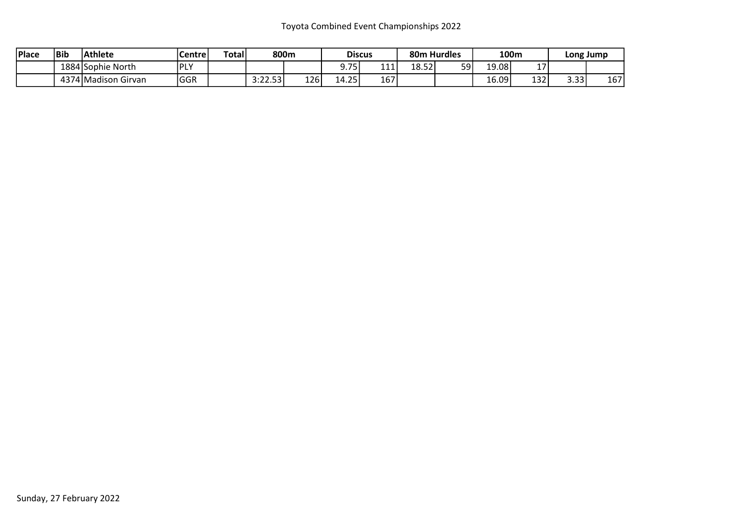#### Toyota Combined Event Championships 2022

| 'Place | Bib | Athlete             | Centre        | <b>Total</b> | 800m                            |     | <b>Discus</b>  |     |       | 80m Hurdles |       | 100m      |                       | Long Jump |
|--------|-----|---------------------|---------------|--------------|---------------------------------|-----|----------------|-----|-------|-------------|-------|-----------|-----------------------|-----------|
|        |     | 1884 Sophie North   | l DI V<br>. . |              |                                 |     | 75<br><u>.</u> | 111 | 18.52 | 59          | ا9.08 | . –<br>∸' |                       |           |
|        |     | 4374 Madison Girvan | <b>GGR</b>    |              | -53<br>າ.າາ<br>J. <i>ll.J</i> J | 126 | 14.25          | 167 |       |             | 16.09 | 132       | $\sim$ $\sim$<br>J.JJ | 167       |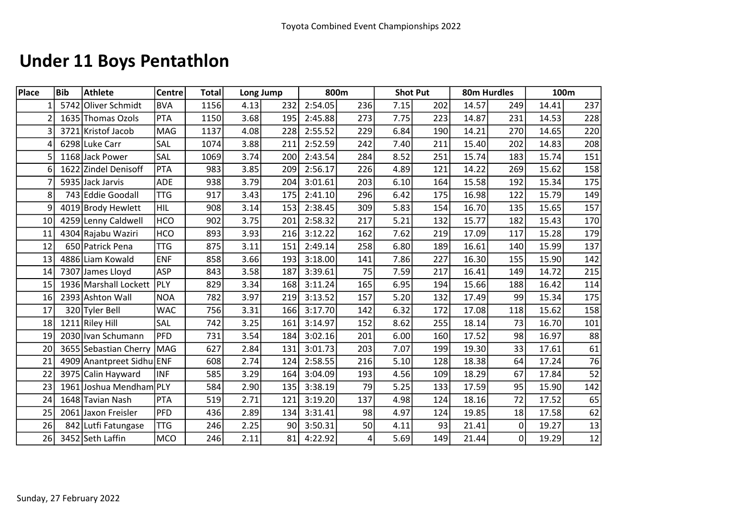# Under 11 Boys Pentathlon

| <b>Place</b>    | <b>Bib</b> | <b>Athlete</b>            | Centre     | Total |      | Long Jump |         | 800m |      | <b>Shot Put</b> |       | 80m Hurdles | 100m  |                 |
|-----------------|------------|---------------------------|------------|-------|------|-----------|---------|------|------|-----------------|-------|-------------|-------|-----------------|
|                 |            | 5742 Oliver Schmidt       | <b>BVA</b> | 1156  | 4.13 | 232       | 2:54.05 | 236  | 7.15 | 202             | 14.57 | 249         | 14.41 | 237             |
| 2               |            | 1635 Thomas Ozols         | <b>PTA</b> | 1150  | 3.68 | 195       | 2:45.88 | 273  | 7.75 | 223             | 14.87 | 231         | 14.53 | 228             |
| 3               |            | 3721 Kristof Jacob        | MAG        | 1137  | 4.08 | 228       | 2:55.52 | 229  | 6.84 | 190             | 14.21 | 270         | 14.65 | 220             |
| 4               |            | 6298 Luke Carr            | SAL        | 1074  | 3.88 | 211       | 2:52.59 | 242  | 7.40 | 211             | 15.40 | 202         | 14.83 | 208             |
| 5               |            | 1168 Jack Power           | SAL        | 1069  | 3.74 | 200       | 2:43.54 | 284  | 8.52 | 251             | 15.74 | 183         | 15.74 | 151             |
| 6               |            | 1622 Zindel Denisoff      | <b>PTA</b> | 983   | 3.85 | 209       | 2:56.17 | 226  | 4.89 | 121             | 14.22 | 269         | 15.62 | 158             |
|                 |            | 5935 Jack Jarvis          | <b>ADE</b> | 938   | 3.79 | 204       | 3:01.61 | 203  | 6.10 | 164             | 15.58 | 192         | 15.34 | 175             |
| 8               |            | 743 Eddie Goodall         | <b>TTG</b> | 917   | 3.43 | 175       | 2:41.10 | 296  | 6.42 | 175             | 16.98 | 122         | 15.79 | 149             |
| 9               |            | 4019 Brody Hewlett        | <b>HIL</b> | 908   | 3.14 | 153       | 2:38.45 | 309  | 5.83 | 154             | 16.70 | 135         | 15.65 | 157             |
| 10 <sup>1</sup> |            | 4259 Lenny Caldwell       | <b>HCO</b> | 902   | 3.75 | 201       | 2:58.32 | 217  | 5.21 | 132             | 15.77 | 182         | 15.43 | 170             |
| 11              |            | 4304 Rajabu Waziri        | <b>HCO</b> | 893   | 3.93 | 216       | 3:12.22 | 162  | 7.62 | 219             | 17.09 | 117         | 15.28 | 179             |
| 12              |            | 650 Patrick Pena          | <b>TTG</b> | 875   | 3.11 | 151       | 2:49.14 | 258  | 6.80 | 189             | 16.61 | 140         | 15.99 | 137             |
| 13              |            | 4886 Liam Kowald          | ENF        | 858   | 3.66 | 193       | 3:18.00 | 141  | 7.86 | 227             | 16.30 | 155         | 15.90 | 142             |
| 14              |            | 7307 James Lloyd          | <b>ASP</b> | 843   | 3.58 | 187       | 3:39.61 | 75   | 7.59 | 217             | 16.41 | 149         | 14.72 | 215             |
| 15              |            | 1936 Marshall Lockett     | PLY        | 829   | 3.34 | 168       | 3:11.24 | 165  | 6.95 | 194             | 15.66 | 188         | 16.42 | 114             |
| 16              |            | 2393 Ashton Wall          | <b>NOA</b> | 782   | 3.97 | 219       | 3:13.52 | 157  | 5.20 | 132             | 17.49 | 99          | 15.34 | 175             |
| 17              |            | 320 Tyler Bell            | <b>WAC</b> | 756   | 3.31 | 166       | 3:17.70 | 142  | 6.32 | 172             | 17.08 | 118         | 15.62 | 158             |
| 18              |            | 1211 Riley Hill           | SAL        | 742   | 3.25 | 161       | 3:14.97 | 152  | 8.62 | 255             | 18.14 | 73          | 16.70 | 101             |
| 19              |            | 2030 Ivan Schumann        | PFD        | 731   | 3.54 | 184       | 3:02.16 | 201  | 6.00 | 160             | 17.52 | 98          | 16.97 | 88              |
| 20              |            | 3655 Sebastian Cherry     | MAG        | 627   | 2.84 | 131       | 3:01.73 | 203  | 7.07 | 199             | 19.30 | 33          | 17.61 | 61              |
| 21              |            | 4909 Anantpreet Sidhu ENF |            | 608   | 2.74 | 124       | 2:58.55 | 216  | 5.10 | 128             | 18.38 | 64          | 17.24 | 76              |
| 22              |            | 3975 Calin Hayward        | <b>INF</b> | 585   | 3.29 | 164       | 3:04.09 | 193  | 4.56 | 109             | 18.29 | 67          | 17.84 | $\overline{52}$ |
| 23              |            | 1961 Joshua Mendham PLY   |            | 584   | 2.90 | 135       | 3:38.19 | 79   | 5.25 | 133             | 17.59 | 95          | 15.90 | 142             |
| 24              |            | 1648 Tavian Nash          | PTA        | 519   | 2.71 | 121       | 3:19.20 | 137  | 4.98 | 124             | 18.16 | 72          | 17.52 | 65              |
| 25              |            | 2061 Jaxon Freisler       | PFD        | 436   | 2.89 | 134       | 3:31.41 | 98   | 4.97 | 124             | 19.85 | 18          | 17.58 | 62              |
| 26              |            | 842 Lutfi Fatungase       | <b>TTG</b> | 246   | 2.25 | 90        | 3:50.31 | 50   | 4.11 | 93              | 21.41 | 0           | 19.27 | 13              |
| 26              |            | 3452 Seth Laffin          | <b>MCO</b> | 246   | 2.11 | 81        | 4:22.92 | 4    | 5.69 | 149             | 21.44 | 0           | 19.29 | $\overline{12}$ |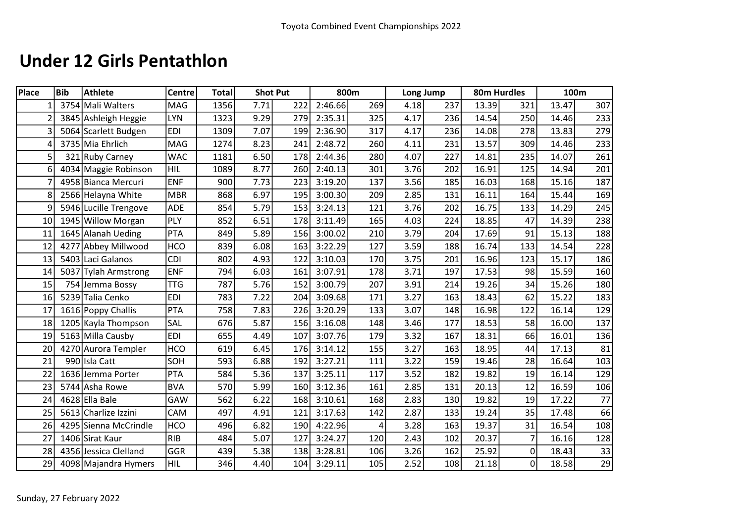### Under 12 Girls Pentathlon

| Place | <b>Bib</b> | <b>Athlete</b>        | <b>Centre</b> | <b>Total</b> |      | <b>Shot Put</b> | 800m    |     | Long Jump |     | 80m Hurdles |                | 100m  |      |
|-------|------------|-----------------------|---------------|--------------|------|-----------------|---------|-----|-----------|-----|-------------|----------------|-------|------|
|       |            | 3754 Mali Walters     | MAG           | 1356         | 7.71 | 222             | 2:46.66 | 269 | 4.18      | 237 | 13.39       | 321            | 13.47 | 307  |
|       |            | 3845 Ashleigh Heggie  | <b>LYN</b>    | 1323         | 9.29 | 279             | 2:35.31 | 325 | 4.17      | 236 | 14.54       | 250            | 14.46 | 233  |
|       |            | 5064 Scarlett Budgen  | <b>EDI</b>    | 1309         | 7.07 | 199             | 2:36.90 | 317 | 4.17      | 236 | 14.08       | 278            | 13.83 | 279  |
|       |            | 3735 Mia Ehrlich      | MAG           | 1274         | 8.23 | 241             | 2:48.72 | 260 | 4.11      | 231 | 13.57       | 309            | 14.46 | 233  |
| 5     |            | 321 Ruby Carney       | <b>WAC</b>    | 1181         | 6.50 | 178             | 2:44.36 | 280 | 4.07      | 227 | 14.81       | 235            | 14.07 | 261  |
| 6     |            | 4034 Maggie Robinson  | <b>HIL</b>    | 1089         | 8.77 | 260             | 2:40.13 | 301 | 3.76      | 202 | 16.91       | 125            | 14.94 | 201  |
|       |            | 4958 Bianca Mercuri   | <b>ENF</b>    | 900          | 7.73 | 223             | 3:19.20 | 137 | 3.56      | 185 | 16.03       | 168            | 15.16 | 187  |
|       |            | 2566 Helayna White    | <b>MBR</b>    | 868          | 6.97 | 195             | 3:00.30 | 209 | 2.85      | 131 | 16.11       | 164            | 15.44 | 169  |
| q     |            | 5946 Lucille Trengove | <b>ADE</b>    | 854          | 5.79 | 153             | 3:24.13 | 121 | 3.76      | 202 | 16.75       | 133            | 14.29 | 245  |
| 10    |            | 1945 Willow Morgan    | PLY           | 852          | 6.51 | 178             | 3:11.49 | 165 | 4.03      | 224 | 18.85       | 47             | 14.39 | 238  |
| 11    |            | 1645 Alanah Ueding    | PTA           | 849          | 5.89 | 156             | 3:00.02 | 210 | 3.79      | 204 | 17.69       | 91             | 15.13 | 188  |
| 12    | 4277       | Abbey Millwood        | <b>HCO</b>    | 839          | 6.08 | 163             | 3:22.29 | 127 | 3.59      | 188 | 16.74       | 133            | 14.54 | 228  |
| 13    |            | 5403 Laci Galanos     | <b>CDI</b>    | 802          | 4.93 | 122             | 3:10.03 | 170 | 3.75      | 201 | 16.96       | 123            | 15.17 | 186  |
| 14    |            | 5037 Tylah Armstrong  | <b>ENF</b>    | 794          | 6.03 | 161             | 3:07.91 | 178 | 3.71      | 197 | 17.53       | 98             | 15.59 | 160  |
| 15    |            | 754 Jemma Bossy       | <b>TTG</b>    | 787          | 5.76 | 152             | 3:00.79 | 207 | 3.91      | 214 | 19.26       | 34             | 15.26 | 180  |
| 16    |            | 5239 Talia Cenko      | <b>EDI</b>    | 783          | 7.22 | 204             | 3:09.68 | 171 | 3.27      | 163 | 18.43       | 62             | 15.22 | 183  |
| 17    |            | 1616 Poppy Challis    | PTA           | 758          | 7.83 | 226             | 3:20.29 | 133 | 3.07      | 148 | 16.98       | 122            | 16.14 | 129  |
| 18    |            | 1205 Kayla Thompson   | SAL           | 676          | 5.87 | 156             | 3:16.08 | 148 | 3.46      | 177 | 18.53       | 58             | 16.00 | 137  |
| 19    |            | 5163 Milla Causby     | <b>EDI</b>    | 655          | 4.49 | 107             | 3:07.76 | 179 | 3.32      | 167 | 18.31       | 66             | 16.01 | 136  |
| 20    |            | 4270 Aurora Templer   | <b>HCO</b>    | 619          | 6.45 | 176             | 3:14.12 | 155 | 3.27      | 163 | 18.95       | 44             | 17.13 | 81   |
| 21    |            | 990 Isla Catt         | SOH           | 593          | 6.88 | 192             | 3:27.21 | 111 | 3.22      | 159 | 19.46       | 28             | 16.64 | 103  |
| 22    |            | 1636 Jemma Porter     | PTA           | 584          | 5.36 | 137             | 3:25.11 | 117 | 3.52      | 182 | 19.82       | 19             | 16.14 | 129  |
| 23    |            | 5744 Asha Rowe        | <b>BVA</b>    | 570          | 5.99 | 160             | 3:12.36 | 161 | 2.85      | 131 | 20.13       | 12             | 16.59 | 106  |
| 24    |            | 4628 Ella Bale        | GAW           | 562          | 6.22 | 168             | 3:10.61 | 168 | 2.83      | 130 | 19.82       | 19             | 17.22 | $77$ |
| 25    |            | 5613 Charlize Izzini  | CAM           | 497          | 4.91 | 121             | 3:17.63 | 142 | 2.87      | 133 | 19.24       | 35             | 17.48 | 66   |
| 26    |            | 4295 Sienna McCrindle | <b>HCO</b>    | 496          | 6.82 | 190             | 4:22.96 | 4   | 3.28      | 163 | 19.37       | 31             | 16.54 | 108  |
| 27    |            | 1406 Sirat Kaur       | <b>RIB</b>    | 484          | 5.07 | 127             | 3:24.27 | 120 | 2.43      | 102 | 20.37       | $\overline{7}$ | 16.16 | 128  |
| 28    |            | 4356 Jessica Clelland | GGR           | 439          | 5.38 | 138             | 3:28.81 | 106 | 3.26      | 162 | 25.92       | 0              | 18.43 | 33   |
| 29    |            | 4098 Majandra Hymers  | HIL           | 346          | 4.40 | 104             | 3:29.11 | 105 | 2.52      | 108 | 21.18       | 0              | 18.58 | 29   |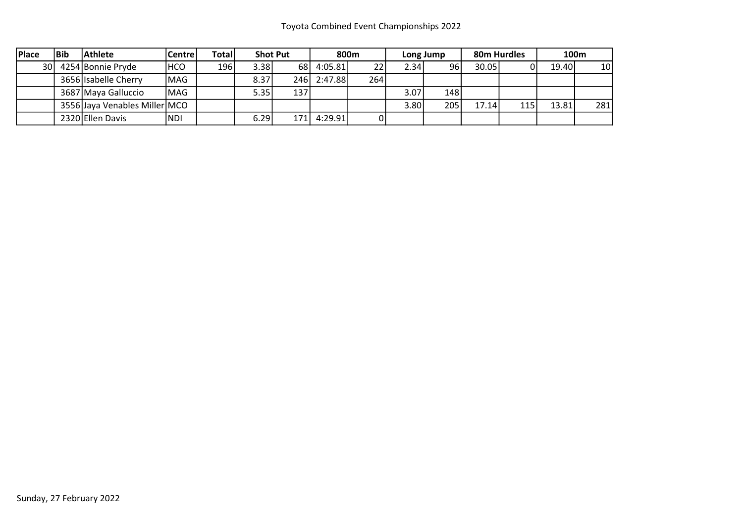| <b>Place</b> | <b>IBib</b> | <b>Athlete</b>                | Centre     | <b>Total</b> | <b>Shot Put</b> |       |             | 800m |      | Long Jump |       | 80m Hurdles |       | 100m            |
|--------------|-------------|-------------------------------|------------|--------------|-----------------|-------|-------------|------|------|-----------|-------|-------------|-------|-----------------|
| 30 L         |             | 4254 Bonnie Pryde             | <b>HCO</b> | 196          | 3.38            |       | 68 4:05.81  | 22   | 2.34 | 96        | 30.05 |             | 19.40 | 10 <sub>l</sub> |
|              |             | 3656 Isabelle Cherry          | MAG        |              | 8.37            |       | 246 2:47.88 | 264  |      |           |       |             |       |                 |
|              |             | 3687 Maya Galluccio           | MAG        |              | 5.35            | 137 l |             |      | 3.07 | 148 l     |       |             |       |                 |
|              |             | 3556 Jaya Venables Miller MCO |            |              |                 |       |             |      | 3.80 | 205       | 17.14 | 115         | 13.81 | 281             |
|              |             | 2320 Ellen Davis              | <b>NDI</b> |              | 6.29            | 171 l | 4:29.91     |      |      |           |       |             |       |                 |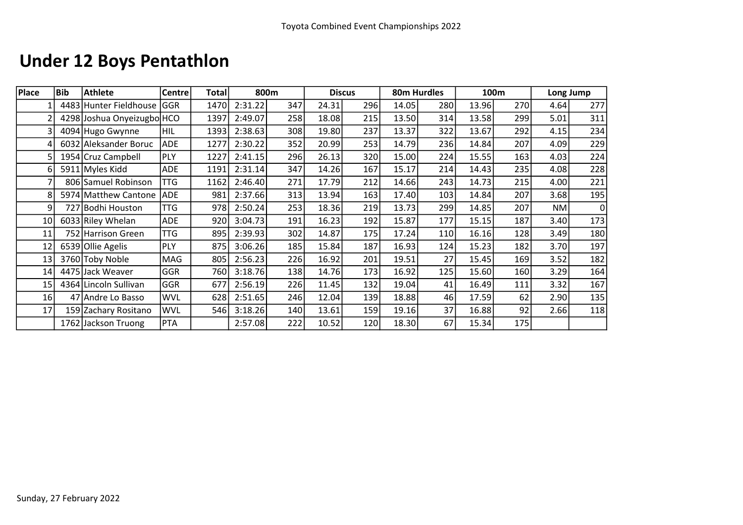# Under 12 Boys Pentathlon

| Place           | <b>Bib</b> | <b>Athlete</b>             | <b>Centre</b> | <b>Total</b> | 800m    |     |       | <b>Discus</b> | 80m Hurdles |     |       | 100m | Long Jump |                |
|-----------------|------------|----------------------------|---------------|--------------|---------|-----|-------|---------------|-------------|-----|-------|------|-----------|----------------|
|                 |            | 4483 Hunter Fieldhouse     | <b>GGR</b>    | 1470         | 2:31.22 | 347 | 24.31 | 296           | 14.05       | 280 | 13.96 | 270  | 4.64      | 277            |
|                 |            | 4298 Joshua Onyeizugbo HCO |               | 1397         | 2:49.07 | 258 | 18.08 | 215           | 13.50       | 314 | 13.58 | 299  | 5.01      | 311            |
|                 |            | 4094 Hugo Gwynne           | HIL           | 1393         | 2:38.63 | 308 | 19.80 | 237           | 13.37       | 322 | 13.67 | 292  | 4.15      | 234            |
|                 |            | 6032 Aleksander Boruc      | <b>ADE</b>    | 1277         | 2:30.22 | 352 | 20.99 | 253           | 14.79       | 236 | 14.84 | 207  | 4.09      | 229            |
|                 |            | 1954 Cruz Campbell         | PLY           | 1227         | 2:41.15 | 296 | 26.13 | 320           | 15.00       | 224 | 15.55 | 163  | 4.03      | 224            |
| 6               |            | 5911 Myles Kidd            | <b>ADE</b>    | 1191         | 2:31.14 | 347 | 14.26 | 167           | 15.17       | 214 | 14.43 | 235  | 4.08      | 228            |
|                 |            | 806 Samuel Robinson        | TTG           | 1162         | 2:46.40 | 271 | 17.79 | 212           | 14.66       | 243 | 14.73 | 215  | 4.00      | 221            |
| 8               |            | 5974 Matthew Cantone       | <b>ADE</b>    | 981          | 2:37.66 | 313 | 13.94 | 163           | 17.40       | 103 | 14.84 | 207  | 3.68      | 195            |
| 9               |            | 727 Bodhi Houston          | TTG           | 978          | 2:50.24 | 253 | 18.36 | 219           | 13.73       | 299 | 14.85 | 207  | NM        | $\overline{0}$ |
| 10 <sub>l</sub> |            | 6033 Riley Whelan          | <b>ADE</b>    | 920          | 3:04.73 | 191 | 16.23 | 192           | 15.87       | 177 | 15.15 | 187  | 3.40      | 173            |
| 11              |            | 752 Harrison Green         | TTG           | 895          | 2:39.93 | 302 | 14.87 | 175           | 17.24       | 110 | 16.16 | 128  | 3.49      | 180            |
| 12              |            | 6539 Ollie Agelis          | <b>PLY</b>    | 875          | 3:06.26 | 185 | 15.84 | 187           | 16.93       | 124 | 15.23 | 182  | 3.70      | 197            |
| 13              |            | 3760 Toby Noble            | MAG           | 805          | 2:56.23 | 226 | 16.92 | 201           | 19.51       | 27  | 15.45 | 169  | 3.52      | 182            |
| 14              |            | 4475 Jack Weaver           | <b>GGR</b>    | 760          | 3:18.76 | 138 | 14.76 | 173           | 16.92       | 125 | 15.60 | 160  | 3.29      | 164            |
| 15              |            | 4364 Lincoln Sullivan      | <b>GGR</b>    | 677          | 2:56.19 | 226 | 11.45 | 132           | 19.04       | 41  | 16.49 | 111  | 3.32      | 167            |
| 16              |            | 47 Andre Lo Basso          | <b>WVL</b>    | 628          | 2:51.65 | 246 | 12.04 | 139           | 18.88       | 46  | 17.59 | 62   | 2.90      | 135            |
| 17              |            | 159 Zachary Rositano       | WVL           | 546          | 3:18.26 | 140 | 13.61 | 159           | 19.16       | 37  | 16.88 | 92   | 2.66      | 118            |
|                 |            | 1762 Jackson Truong        | PTA           |              | 2:57.08 | 222 | 10.52 | 120           | 18.30       | 67  | 15.34 | 175  |           |                |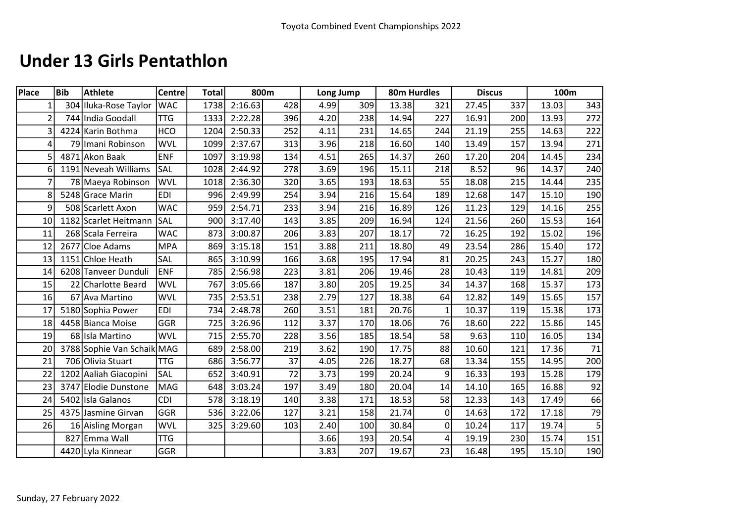### Under 13 Girls Pentathlon

| <b>Place</b>    | <b>Bib</b> | <b>Athlete</b>             | <b>Centre</b> | <b>Total</b> |         | 800m |      | Long Jump |       | 80m Hurdles  |       | <b>Discus</b> | 100m  |        |
|-----------------|------------|----------------------------|---------------|--------------|---------|------|------|-----------|-------|--------------|-------|---------------|-------|--------|
| $1\vert$        |            | 304 Iluka-Rose Taylor      | <b>WAC</b>    | 1738         | 2:16.63 | 428  | 4.99 | 309       | 13.38 | 321          | 27.45 | 337           | 13.03 | 343    |
| $\overline{2}$  |            | 744 India Goodall          | <b>TTG</b>    | 1333         | 2:22.28 | 396  | 4.20 | 238       | 14.94 | 227          | 16.91 | 200           | 13.93 | 272    |
| 3               |            | 4224 Karin Bothma          | <b>HCO</b>    | 1204         | 2:50.33 | 252  | 4.11 | 231       | 14.65 | 244          | 21.19 | 255           | 14.63 | 222    |
| $\vert 4 \vert$ |            | 79 Imani Robinson          | <b>WVL</b>    | 1099         | 2:37.67 | 313  | 3.96 | 218       | 16.60 | 140          | 13.49 | 157           | 13.94 | 271    |
| 5               |            | 4871 Akon Baak             | <b>ENF</b>    | 1097         | 3:19.98 | 134  | 4.51 | 265       | 14.37 | 260          | 17.20 | 204           | 14.45 | 234    |
| 6               |            | 1191 Neveah Williams       | <b>SAL</b>    | 1028         | 2:44.92 | 278  | 3.69 | 196       | 15.11 | 218          | 8.52  | 96            | 14.37 | 240    |
| 7               |            | 78 Maeya Robinson          | <b>WVL</b>    | 1018         | 2:36.30 | 320  | 3.65 | 193       | 18.63 | 55           | 18.08 | 215           | 14.44 | 235    |
| 8               |            | 5248 Grace Marin           | <b>EDI</b>    | 996          | 2:49.99 | 254  | 3.94 | 216       | 15.64 | 189          | 12.68 | 147           | 15.10 | 190    |
| 9               |            | 508 Scarlett Axon          | <b>WAC</b>    | 959          | 2:54.71 | 233  | 3.94 | 216       | 16.89 | 126          | 11.23 | 129           | 14.16 | 255    |
| 10              |            | 1182 Scarlet Heitmann      | <b>SAL</b>    | 900          | 3:17.40 | 143  | 3.85 | 209       | 16.94 | 124          | 21.56 | 260           | 15.53 | 164    |
| 11              |            | 268 Scala Ferreira         | <b>WAC</b>    | 873          | 3:00.87 | 206  | 3.83 | 207       | 18.17 | 72           | 16.25 | 192           | 15.02 | 196    |
| 12              |            | 2677 Cloe Adams            | <b>MPA</b>    | 869          | 3:15.18 | 151  | 3.88 | 211       | 18.80 | 49           | 23.54 | 286           | 15.40 | 172    |
| 13              |            | 1151 Chloe Heath           | SAL           | 865          | 3:10.99 | 166  | 3.68 | 195       | 17.94 | 81           | 20.25 | 243           | 15.27 | 180    |
| 14              |            | 6208 Tanveer Dunduli       | <b>ENF</b>    | 785          | 2:56.98 | 223  | 3.81 | 206       | 19.46 | 28           | 10.43 | 119           | 14.81 | 209    |
| 15              |            | 22 Charlotte Beard         | <b>WVL</b>    | 767          | 3:05.66 | 187  | 3.80 | 205       | 19.25 | 34           | 14.37 | 168           | 15.37 | 173    |
| 16              |            | 67 Ava Martino             | <b>WVL</b>    | 735          | 2:53.51 | 238  | 2.79 | 127       | 18.38 | 64           | 12.82 | 149           | 15.65 | 157    |
| 17              |            | 5180 Sophia Power          | <b>EDI</b>    | 734          | 2:48.78 | 260  | 3.51 | 181       | 20.76 | $\mathbf{1}$ | 10.37 | 119           | 15.38 | 173    |
| 18              |            | 4458 Bianca Moise          | <b>GGR</b>    | 725          | 3:26.96 | 112  | 3.37 | 170       | 18.06 | 76           | 18.60 | 222           | 15.86 | 145    |
| 19              |            | 68 Isla Martino            | <b>WVL</b>    | 715          | 2:55.70 | 228  | 3.56 | 185       | 18.54 | 58           | 9.63  | 110           | 16.05 | 134    |
| 20              |            | 3788 Sophie Van Schaik MAG |               | 689          | 2:58.00 | 219  | 3.62 | 190       | 17.75 | 88           | 10.60 | 121           | 17.36 | $71\,$ |
| 21              |            | 706 Olivia Stuart          | <b>TTG</b>    | 686          | 3:56.77 | 37   | 4.05 | 226       | 18.27 | 68           | 13.34 | 155           | 14.95 | 200    |
| 22              |            | 1202 Aaliah Giacopini      | <b>SAL</b>    | 652          | 3:40.91 | 72   | 3.73 | 199       | 20.24 | 9            | 16.33 | 193           | 15.28 | 179    |
| 23              |            | 3747 Elodie Dunstone       | MAG           | 648          | 3:03.24 | 197  | 3.49 | 180       | 20.04 | 14           | 14.10 | 165           | 16.88 | 92     |
| 24              |            | 5402 Isla Galanos          | <b>CDI</b>    | 578          | 3:18.19 | 140  | 3.38 | 171       | 18.53 | 58           | 12.33 | 143           | 17.49 | 66     |
| 25              |            | 4375 Jasmine Girvan        | <b>GGR</b>    | 536          | 3:22.06 | 127  | 3.21 | 158       | 21.74 | $\mathbf{0}$ | 14.63 | 172           | 17.18 | 79     |
| 26              |            | 16 Aisling Morgan          | <b>WVL</b>    | 325          | 3:29.60 | 103  | 2.40 | 100       | 30.84 | $\Omega$     | 10.24 | 117           | 19.74 | 5      |
|                 |            | 827 Emma Wall              | <b>TTG</b>    |              |         |      | 3.66 | 193       | 20.54 | 4            | 19.19 | 230           | 15.74 | 151    |
|                 |            | 4420 Lyla Kinnear          | <b>GGR</b>    |              |         |      | 3.83 | 207       | 19.67 | 23           | 16.48 | 195           | 15.10 | 190    |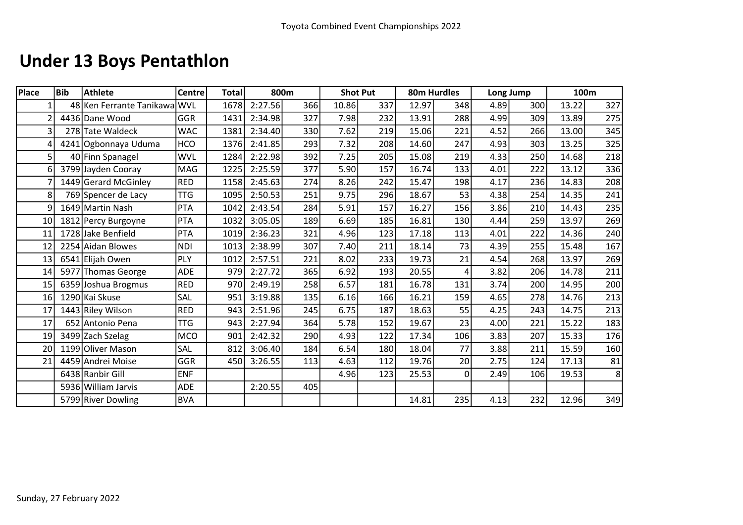# Under 13 Boys Pentathlon

| Place           | <b>Bib</b> | <b>Athlete</b>               | <b>Centre</b> | <b>Total</b> |         | 800m | <b>Shot Put</b> |     | 80m Hurdles |          | Long Jump |     | 100m  |                  |
|-----------------|------------|------------------------------|---------------|--------------|---------|------|-----------------|-----|-------------|----------|-----------|-----|-------|------------------|
|                 |            | 48 Ken Ferrante Tanikawa WVL |               | 1678         | 2:27.56 | 366  | 10.86           | 337 | 12.97       | 348      | 4.89      | 300 | 13.22 | 327              |
|                 |            | 4436 Dane Wood               | <b>GGR</b>    | 1431         | 2:34.98 | 327  | 7.98            | 232 | 13.91       | 288      | 4.99      | 309 | 13.89 | 275              |
| $\overline{3}$  |            | 278 Tate Waldeck             | <b>WAC</b>    | 1381         | 2:34.40 | 330  | 7.62            | 219 | 15.06       | 221      | 4.52      | 266 | 13.00 | 345              |
|                 |            | 4241 Ogbonnaya Uduma         | <b>HCO</b>    | 1376         | 2:41.85 | 293  | 7.32            | 208 | 14.60       | 247      | 4.93      | 303 | 13.25 | 325              |
| 5 <sup>1</sup>  |            | 40 Finn Spanagel             | <b>WVL</b>    | 1284         | 2:22.98 | 392  | 7.25            | 205 | 15.08       | 219      | 4.33      | 250 | 14.68 | 218              |
| 6               |            | 3799 Jayden Cooray           | <b>MAG</b>    | 1225         | 2:25.59 | 377  | 5.90            | 157 | 16.74       | 133      | 4.01      | 222 | 13.12 | 336              |
|                 |            | 1449 Gerard McGinley         | RED           | 1158         | 2:45.63 | 274  | 8.26            | 242 | 15.47       | 198      | 4.17      | 236 | 14.83 | 208              |
| $\mathbf{8}$    |            | 769 Spencer de Lacy          | <b>TTG</b>    | 1095         | 2:50.53 | 251  | 9.75            | 296 | 18.67       | 53       | 4.38      | 254 | 14.35 | 241              |
| q               |            | 1649 Martin Nash             | PTA           | 1042         | 2:43.54 | 284  | 5.91            | 157 | 16.27       | 156      | 3.86      | 210 | 14.43 | 235              |
| 10 <sub>l</sub> |            | 1812 Percy Burgoyne          | PTA           | 1032         | 3:05.05 | 189  | 6.69            | 185 | 16.81       | 130      | 4.44      | 259 | 13.97 | 269              |
| 11              |            | 1728 Jake Benfield           | PTA           | 1019         | 2:36.23 | 321  | 4.96            | 123 | 17.18       | 113      | 4.01      | 222 | 14.36 | 240              |
| 12              |            | 2254 Aidan Blowes            | <b>NDI</b>    | 1013         | 2:38.99 | 307  | 7.40            | 211 | 18.14       | 73       | 4.39      | 255 | 15.48 | 167              |
| 13              |            | 6541 Elijah Owen             | PLY           | 1012         | 2:57.51 | 221  | 8.02            | 233 | 19.73       | 21       | 4.54      | 268 | 13.97 | 269              |
| 14              |            | 5977 Thomas George           | <b>ADE</b>    | 979          | 2:27.72 | 365  | 6.92            | 193 | 20.55       | 4        | 3.82      | 206 | 14.78 | 211              |
| 15              |            | 6359 Joshua Brogmus          | <b>RED</b>    | 970          | 2:49.19 | 258  | 6.57            | 181 | 16.78       | 131      | 3.74      | 200 | 14.95 | 200              |
| 16              |            | 1290 Kai Skuse               | SAL           | 951          | 3:19.88 | 135  | 6.16            | 166 | 16.21       | 159      | 4.65      | 278 | 14.76 | 213              |
| 17              |            | 1443 Riley Wilson            | <b>RED</b>    | 943          | 2:51.96 | 245  | 6.75            | 187 | 18.63       | 55       | 4.25      | 243 | 14.75 | 213              |
| 17              |            | 652 Antonio Pena             | <b>TTG</b>    | 943          | 2:27.94 | 364  | 5.78            | 152 | 19.67       | 23       | 4.00      | 221 | 15.22 | 183              |
| 19              |            | 3499 Zach Szelag             | <b>MCO</b>    | 901          | 2:42.32 | 290  | 4.93            | 122 | 17.34       | 106      | 3.83      | 207 | 15.33 | 176              |
| 20 <sup>1</sup> |            | 1199 Oliver Mason            | SAL           | 812          | 3:06.40 | 184  | 6.54            | 180 | 18.04       | 77       | 3.88      | 211 | 15.59 | 160              |
| 21              |            | 4459 Andrei Moise            | <b>GGR</b>    | 450          | 3:26.55 | 113  | 4.63            | 112 | 19.76       | 20       | 2.75      | 124 | 17.13 | 81               |
|                 |            | 6438 Ranbir Gill             | <b>ENF</b>    |              |         |      | 4.96            | 123 | 25.53       | $\Omega$ | 2.49      | 106 | 19.53 | $\boldsymbol{8}$ |
|                 |            | 5936 William Jarvis          | <b>ADE</b>    |              | 2:20.55 | 405  |                 |     |             |          |           |     |       |                  |
|                 |            | 5799 River Dowling           | <b>BVA</b>    |              |         |      |                 |     | 14.81       | 235      | 4.13      | 232 | 12.96 | 349              |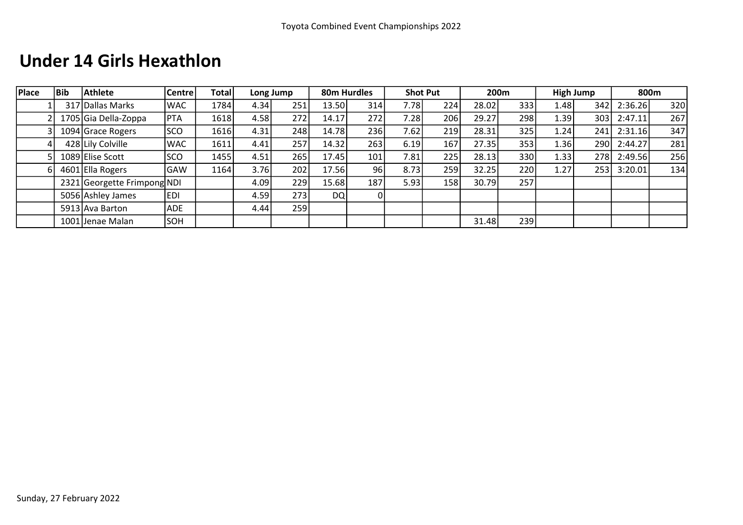### Under 14 Girls Hexathlon

| Place | Bib | <b>Athlete</b>              | Centre     | <b>Total</b> |      | Long Jump |           | 80m Hurdles | <b>Shot Put</b>   |     |       | 200m |      | High Jump | 800m    |     |
|-------|-----|-----------------------------|------------|--------------|------|-----------|-----------|-------------|-------------------|-----|-------|------|------|-----------|---------|-----|
|       |     | 317 Dallas Marks            | <b>WAC</b> | 1784         | 4.34 | 251       | 13.50     | 314         | 7.78              | 224 | 28.02 | 333  | 1.48 | 342       | 2:36.26 | 320 |
|       |     | 1705 Gia Della-Zoppa        | <b>PTA</b> | 1618         | 4.58 | 272       | 14.17     | 272         | 7.28              | 206 | 29.27 | 298  | 1.39 | 303       | 2:47.11 | 267 |
|       |     | 1094 Grace Rogers           | SCO        | 1616         | 4.31 | 248       | 14.78     | 236         | 7.62 <sub>1</sub> | 219 | 28.31 | 325  | 1.24 | 241       | 2:31.16 | 347 |
|       |     | 428 Lily Colville           | <b>WAC</b> | 1611         | 4.41 | 257       | 14.32     | 263         | 6.19              | 167 | 27.35 | 353  | 1.36 | 290       | 2:44.27 | 281 |
|       |     | 1089 Elise Scott            | SCO        | 1455         | 4.51 | 265       | 17.45     | 101         | 7.81              | 225 | 28.13 | 330  | 1.33 | 278       | 2:49.56 | 256 |
|       |     | 4601 Ella Rogers            | GAW        | 1164         | 3.76 | 202       | 17.56     | 96          | 8.73              | 259 | 32.25 | 220  | 1.27 | 253       | 3:20.01 | 134 |
|       |     | 2321 Georgette Frimpong NDI |            |              | 4.09 | 229       | 15.68     | 187         | 5.93              | 158 | 30.79 | 257  |      |           |         |     |
|       |     | 5056 Ashley James           | <b>EDI</b> |              | 4.59 | 273       | <b>DQ</b> | 01          |                   |     |       |      |      |           |         |     |
|       |     | 5913 Ava Barton             | <b>ADE</b> |              | 4.44 | 259       |           |             |                   |     |       |      |      |           |         |     |
|       |     | 1001 Jenae Malan            | SOH        |              |      |           |           |             |                   |     | 31.48 | 239  |      |           |         |     |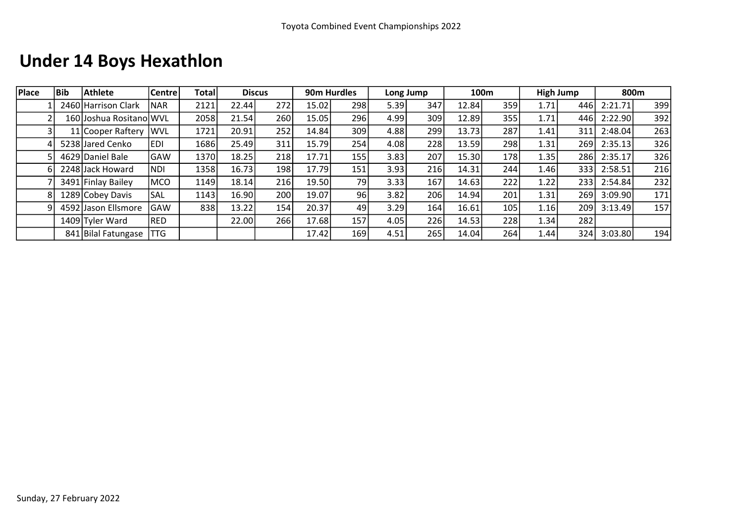# Under 14 Boys Hexathlon

| Place | <b>Bib</b> | <b>Athlete</b>          | <b>Centre</b> | <b>Total</b> | <b>Discus</b> |     | 90m Hurdles |     |      | Long Jump |       | 100m |      | <b>High Jump</b> |         | 800m |
|-------|------------|-------------------------|---------------|--------------|---------------|-----|-------------|-----|------|-----------|-------|------|------|------------------|---------|------|
|       |            | 2460 Harrison Clark     | <b>NAR</b>    | 2121         | 22.44         | 272 | 15.02       | 298 | 5.39 | 347       | 12.84 | 359  | 1.71 | 446              | 2:21.71 | 399  |
|       |            | 160 Joshua Rositano WVL |               | 2058         | 21.54         | 260 | 15.05       | 296 | 4.99 | 309       | 12.89 | 355  | 1.71 | 446              | 2:22.90 | 392  |
|       |            | 11 Cooper Raftery       | <b>IWVL</b>   | 1721         | 20.91         | 252 | 14.84       | 309 | 4.88 | 299       | 13.73 | 287  | 1.41 | 311              | 2:48.04 | 263  |
|       |            | 5238 Jared Cenko        | <b>EDI</b>    | 1686         | 25.49         | 311 | 15.79       | 254 | 4.08 | 228       | 13.59 | 298  | 1.31 | 269              | 2:35.13 | 326  |
|       |            | 4629 Daniel Bale        | GAW           | 1370         | 18.25         | 218 | 17.71       | 155 | 3.83 | 207       | 15.30 | 178  | 1.35 | 286              | 2:35.17 | 326  |
|       |            | 2248 Jack Howard        | <b>NDI</b>    | 1358         | 16.73         | 198 | 17.79       | 151 | 3.93 | 216       | 14.31 | 244  | 1.46 | 333              | 2:58.51 | 216  |
|       |            | 3491 Finlay Bailey      | <b>IMCO</b>   | 1149         | 18.14         | 216 | 19.50       | 79I | 3.33 | 167       | 14.63 | 222  | 1.22 | 233              | 2:54.84 | 232  |
|       |            | 1289 Cobey Davis        | <b>SAL</b>    | 1143         | 16.90         | 200 | 19.07       | 96  | 3.82 | 206       | 14.94 | 201  | 1.31 | 269              | 3:09.90 | 171  |
|       |            | 4592 Jason Ellsmore     | GAW           | 838          | 13.22         | 154 | 20.37       | 49  | 3.29 | 164       | 16.61 | 105  | 1.16 | 209              | 3:13.49 | 157  |
|       |            | 1409 Tyler Ward         | RED           |              | 22.00         | 266 | 17.68       | 157 | 4.05 | 226       | 14.53 | 228  | 1.34 | 282              |         |      |
|       |            | 841 Bilal Fatungase     | TTG           |              |               |     | 17.42       | 169 | 4.51 | 265       | 14.04 | 264  | 1.44 | 324              | 3:03.80 | 194  |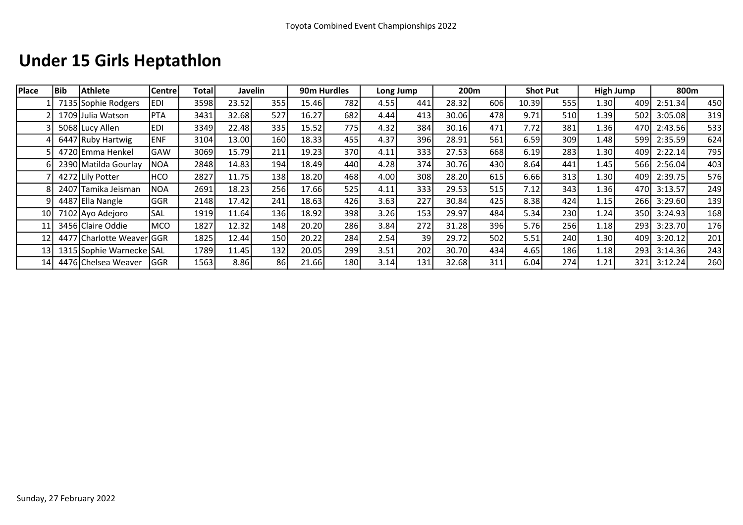## Under 15 Girls Heptathlon

| Place | <b>Bib</b> | <b>Athlete</b>            | <b>Centre</b> | Totall |       | Javelin          | 90m Hurdles |     |       | Long Jump |       | 200m |       | <b>Shot Put</b> |      | <b>High Jump</b> |         | 800m |
|-------|------------|---------------------------|---------------|--------|-------|------------------|-------------|-----|-------|-----------|-------|------|-------|-----------------|------|------------------|---------|------|
|       |            | 7135 Sophie Rodgers       | EDI           | 3598   | 23.52 | 355              | 15.46       | 782 | 4.55  | 441       | 28.32 | 606  | 10.39 | 555             | 1.30 | 4091             | 2:51.34 | 450  |
|       |            | 1709 Julia Watson         | PTA           | 3431   | 32.68 | 527              | 16.27       | 682 | 4.44  | 413       | 30.06 | 478  | 9.71  | 510             | 1.39 | 502l             | 3:05.08 | 319  |
|       |            | 5068 Lucy Allen           | <b>EDI</b>    | 3349   | 22.48 | 335              | 15.52       | 775 | 4.32  | 384       | 30.16 | 471  | 7.72  | 381             | 1.36 | 470I             | 2:43.56 | 533  |
|       |            | 6447 Ruby Hartwig         | <b>ENF</b>    | 3104   | 13.00 | 160              | 18.33       | 455 | 4.37  | 396       | 28.91 | 561  | 6.59  | 309             | 1.48 | 599l             | 2:35.59 | 624  |
|       |            | 4720 Emma Henkel          | <b>GAW</b>    | 3069   | 15.79 | 211              | 19.23       | 370 | 4.11  | 333       | 27.53 | 668  | 6.19  | 283             | 1.30 | 4091             | 2:22.14 | 795  |
|       |            | 2390 Matilda Gourlay      | <b>NOA</b>    | 2848   | 14.83 | 194              | 18.49       | 440 | 4.28  | 374       | 30.76 | 430  | 8.64  | 441             | 1.45 | 566l             | 2:56.04 | 403  |
|       |            | 4272 Lily Potter          | HCO           | 2827   | 11.75 | 138              | 18.20       | 468 | 4.00l | 308       | 28.20 | 615  | 6.66  | 313             | 1.30 | 4091             | 2:39.75 | 576  |
|       |            | 2407 Tamika Jeisman       | NOA           | 2691   | 18.23 | 256              | 17.66       | 525 | 4.11  | 333       | 29.53 | 515  | 7.12  | 343             | 1.36 | 470I             | 3:13.57 | 249  |
|       |            | 4487 Ella Nangle          | <b>GGR</b>    | 2148   | 17.42 | 241              | 18.63       | 426 | 3.63  | 227       | 30.84 | 425  | 8.38  | 424             | 1.15 | 266              | 3:29.60 | 139  |
| 10    |            | 7102 Ayo Adejoro          | ISAL          | 1919   | 11.64 | 136 <sup> </sup> | 18.92       | 398 | 3.26  | 153       | 29.97 | 484  | 5.34  | 230             | 1.24 | 350l             | 3:24.93 | 168  |
| 11    |            | 3456 Claire Oddie         | MCO           | 1827   | 12.32 | 148              | 20.20       | 286 | 3.84  | 272       | 31.28 | 396  | 5.76  | 256             | 1.18 | 293              | 3:23.70 | 176  |
| 12    |            | 4477 Charlotte Weaver GGR |               | 1825   | 12.44 | 150              | 20.22       | 284 | 2.54  | 39        | 29.72 | 502  | 5.51  | 240             | 1.30 | 409l             | 3:20.12 | 201  |
| 13    |            | 1315 Sophie Warnecke SAL  |               | 1789   | 11.45 | 132              | 20.05       | 299 | 3.51  | 202       | 30.70 | 434  | 4.65  | 186             | 1.18 | 293              | 3:14.36 | 243  |
| 14    |            | 4476 Chelsea Weaver       | IGGR          | 1563   | 8.86  | 86 <sup>1</sup>  | 21.66       | 180 | 3.14  | 131       | 32.68 | 311  | 6.04  | 274             | 1.21 | 321              | 3:12.24 | 260  |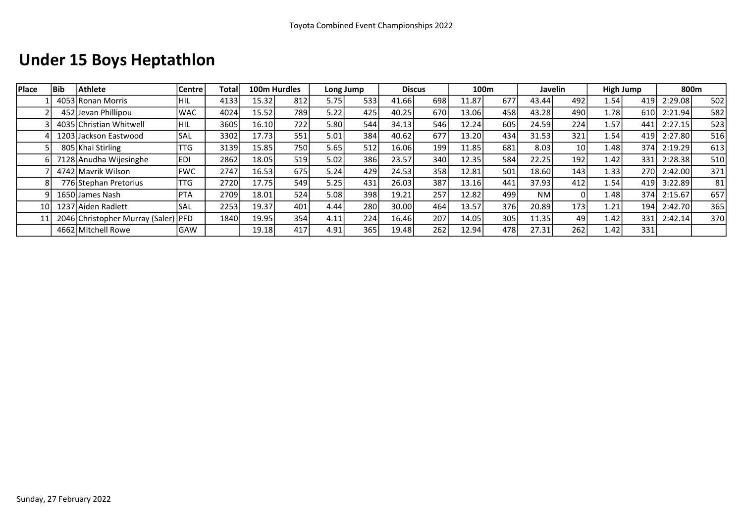## Under 15 Boys Heptathlon

| Place           | <b>Bib</b> | Athlete                             | <b>Centre</b> | Total |       | 100m Hurdles     | Long Jump |     | <b>Discus</b> |     |       | 100m |       | Javelin          |        | High Jump | 800m    |     |
|-----------------|------------|-------------------------------------|---------------|-------|-------|------------------|-----------|-----|---------------|-----|-------|------|-------|------------------|--------|-----------|---------|-----|
|                 |            | 4053 Ronan Morris                   | <b>HIL</b>    | 4133  | 15.32 | 812              | 5.75      | 533 | 41.66         | 698 | 11.87 | 677  | 43.44 | 492              | 1.54   | 419       | 2:29.08 | 502 |
|                 |            | 452 Jevan Phillipou                 | <b>WAC</b>    | 4024  | 15.52 | 789 <sup> </sup> | 5.22      | 425 | 40.25         | 670 | 13.06 | 458  | 43.28 | 490              | 1.78   | 610       | 2:21.94 | 582 |
|                 |            | 4035 Christian Whitwell             | HIL           | 3605  | 16.10 | 722              | 5.80      | 544 | 34.13         | 546 | 12.24 | 605  | 24.59 | 224              | 1.57   | 441       | 2:27.15 | 523 |
|                 |            | 1203 Jackson Eastwood               | <b>SAL</b>    | 3302  | 17.73 | 551              | 5.01      | 384 | 40.62         | 677 | 13.20 | 434  | 31.53 | 321              | 1.54   | 419       | 2:27.80 | 516 |
|                 |            | 805 Khai Stirling                   | TTG           | 3139  | 15.85 | 750 <sup>I</sup> | 5.65      | 512 | 16.06         | 199 | 11.85 | 681  | 8.03  | 10 <sup>1</sup>  | 1.48   | 374       | 2:19.29 | 613 |
|                 |            | 7128 Anudha Wijesinghe              | ledi          | 2862  | 18.05 | 519              | 5.02      | 386 | 23.57         | 340 | 12.35 | 584  | 22.25 | 192              | 1.42   | 331       | 2:28.38 | 510 |
|                 |            | 4742 Mavrik Wilson                  | <b>FWC</b>    | 2747  | 16.53 | 675              | 5.24      | 429 | 24.53         | 358 | 12.81 | 501  | 18.60 | 143 <sub>1</sub> | 1.33   | 270       | 2:42.00 | 371 |
|                 |            | 776 Stephan Pretorius               | TTG           | 2720  | 17.75 | 549              | 5.25      | 431 | 26.03         | 387 | 13.16 | 441  | 37.93 | 412              | 1.54   | 419       | 3:22.89 | 81  |
|                 |            | 1650 James Nash                     | <b>PTA</b>    | 2709  | 18.01 | 524              | 5.08      | 398 | 19.21         | 257 | 12.82 | 499  | NM.   |                  | 1.48 l | 374       | 2:15.67 | 657 |
| 10 <sup>1</sup> |            | 1237 Aiden Radlett                  | 'SAL          | 2253  | 19.37 | 401              | 4.44      | 280 | 30.00         | 464 | 13.57 | 376  | 20.89 | 173 <sub>1</sub> | 1.21   | 194       | 2:42.70 | 365 |
|                 |            | 2046 Christopher Murray (Saler) PFD |               | 1840  | 19.95 | 354              | 4.11      | 224 | 16.46         | 207 | 14.05 | 305  | 11.35 | 49               | 1.42   | 331       | 2:42.14 | 370 |
|                 |            | 4662 Mitchell Rowe                  | <b>GAW</b>    |       | 19.18 | 417              | 4.91      | 365 | 19.48         | 262 | 12.94 | 478  | 27.31 | 262              | 1.42   | 331       |         |     |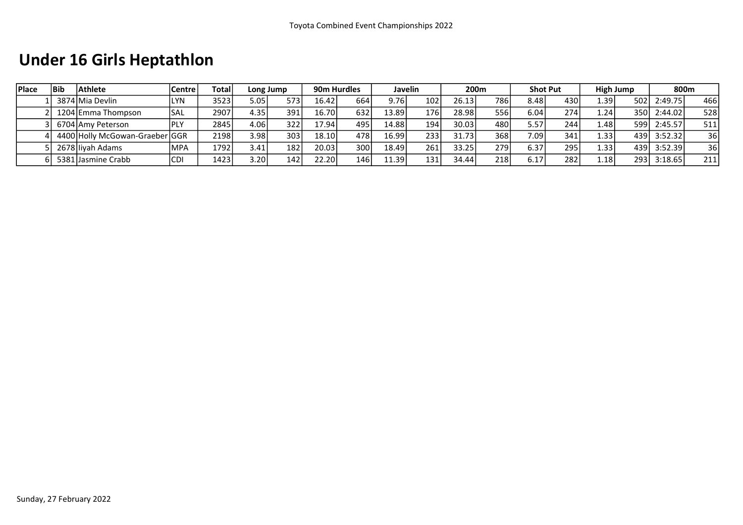## Under 16 Girls Heptathlon

| <b>IPlace</b> | <b>Bib</b> | <b>Athlete</b>                 | <b>Centre</b> | Totall |                   | Long Jump | 90m Hurdles |      |       | Javelin |       | 200 <sub>m</sub> |                   | <b>Shot Put</b> |                | High Jump | 800m    |     |
|---------------|------------|--------------------------------|---------------|--------|-------------------|-----------|-------------|------|-------|---------|-------|------------------|-------------------|-----------------|----------------|-----------|---------|-----|
|               |            | 3874 Mia Devlin                | LYN.          | 3523   | 5.05              | 573       | 16.42       | 664  | 9.76  | 102     | 26.13 | 7861             | 8.48              | 430             | √39.⊾          | 502       | 2:49.75 | 466 |
|               |            | 1204 Emma Thompson             | <b>SAL</b>    | 2907   | 4.35 <sub>1</sub> | 391       | 16.70       | 632  | 13.89 | 176     | 28.98 | 556              | 6.04              | 274.            | 1.24'          | 350       | 2:44.02 | 528 |
|               |            | 6704 Amy Peterson              |               | 2845   | 4.06              | 322       | 17.94       | 495  | 14.88 | 194     | 30.03 | 480 l            | 5.57              | 244             | ا 48. ـ        | 599       | 2:45.57 | 511 |
|               |            | 4400 Holly McGowan-Graeber GGR |               | 2198   | 3.98              | 303       | 18.10       | 4781 | 16.99 | 233     | 31.73 | 368              | 7.09 <sub>1</sub> | 341             | 1.33           | 439       | 3:52.32 | 36  |
|               |            | 2678 Ilivah Adams              | <b>MPA</b>    | 1792   | 3.41              | 182       | 20.03       | 300  | 18.49 | 261     | 33.25 | 279              | 6.37              | 295             | $1.33^{\circ}$ | 439       | 3:52.39 | 36  |
|               |            | 5381 Jasmine Crabb             | <b>CDI</b>    | 1423   | 3.201             | 142       | 22.20       | 146  | 11.39 | 131     | 34.44 | 218              | 6.17              | 282             | 1.18           | 293       | 3:18.65 | 211 |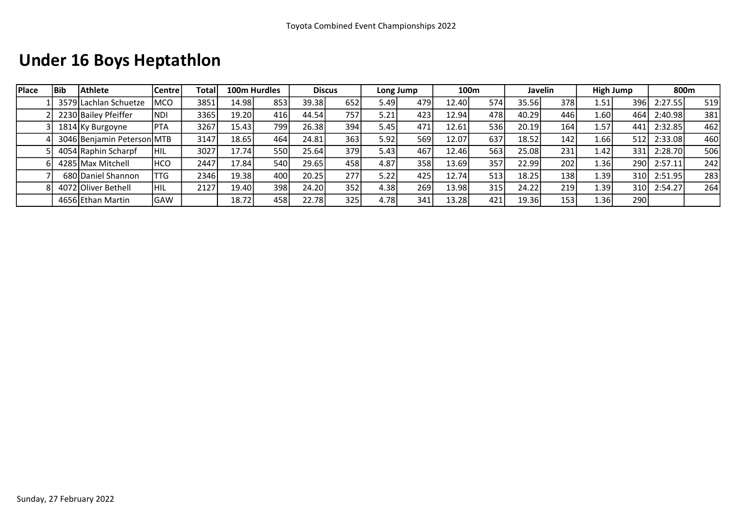### Under 16 Boys Heptathlon

| <b>IPlace</b> | l Bib | Athlete                    | Centre      | Total. |       | 100m Hurdles |       | <b>Discus</b> |        | Long Jump |       | 100 <sub>m</sub> |       | <b>Javelin</b> |                     | High Jump |         | 800m |
|---------------|-------|----------------------------|-------------|--------|-------|--------------|-------|---------------|--------|-----------|-------|------------------|-------|----------------|---------------------|-----------|---------|------|
|               |       | 3579 Lachlan Schuetze      | <b>MCO</b>  | 3851   | 14.98 | 853          | 39.38 | 652           | 5.49   | 479       | 12.40 | 574              | 35.56 | 378            | 1.51                | 396       | 2:27.55 | 519  |
|               |       | 2230 Bailey Pfeiffer       | <b>NDI</b>  | 3365   | 19.20 | 416          | 44.54 | 757           | 5.21   | 423       | 12.94 | 478l             | 40.29 | 446            | 1.60                | 464       | 2:40.98 | 381  |
|               |       | 1814 Ky Burgoyne           | <b>IPTA</b> | 3267   | 15.43 | 799          | 26.38 | 394           | 5.45 l | 471       | 12.61 | 536l             | 20.19 | 164            | 1.57'               | 441       | 2:32.85 | 462  |
|               |       | 3046 Benjamin Peterson MTB |             | 3147   | 18.65 | 464          | 24.81 | 363           | 5.92   | 569       | 12.07 | 637              | 18.52 | 142            | 1.66l               | 512       | 2:33.08 | 460  |
|               |       | 4054 Raphin Scharpf        | <b>HIL</b>  | 3027   | 17.74 | 550          | 25.64 | 379           | 5.431  | 467       | 12.46 | 563              | 25.08 | 231            | 1.42                | 331       | 2:28.70 | 506  |
|               |       | 4285 Max Mitchell          | <b>HCO</b>  | 2447   | 17.84 | 540l         | 29.65 | 458           | 4.87   | 358       | 13.69 | 357              | 22.99 | 202            | 1.36I               | 290       | 2:57.11 | 242  |
|               |       | 680 Daniel Shannon         | TTG         | 2346   | 19.38 | 400          | 20.25 | 277           | 5.22   | 425       | 12.74 | 513              | 18.25 | 138            | $1.39$ <sup>1</sup> | 310l      | 2:51.95 | 283  |
|               |       | 4072 Oliver Bethell        | <b>HIL</b>  | 2127   | 19.40 | 398          | 24.20 | 352           | 4.38   | 269       | 13.98 | 315              | 24.22 | 219            | 1.39                | 310l      | 2:54.27 | 264  |
|               |       | 4656 Ethan Martin          | <b>GAW</b>  |        | 18.72 | 458          | 22.78 | 325           | 4.78l  | 341       | 13.28 | 421              | 19.36 | 153            | 1.36l               | 290       |         |      |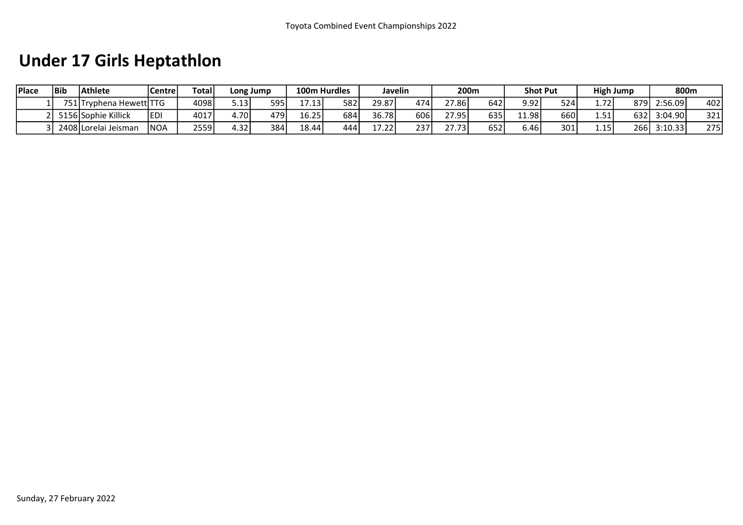## Under 17 Girls Heptathlon

| <b>Place</b> | Bib   | <b>Athlete</b>       | Centre | <b>Total</b> | Long Jump |      |       | 100m Hurdles |                                 | Javelin | 200m   |     |       | <b>Shot Put</b> |       | High Jump |         | 800m |
|--------------|-------|----------------------|--------|--------------|-----------|------|-------|--------------|---------------------------------|---------|--------|-----|-------|-----------------|-------|-----------|---------|------|
|              | 751 T | Trvphena Hewett TTG  |        | 4098         | 5.13      | 595  | 1713  | 582          | 29.87                           | 474     | 27.861 | 642 | 9.92  | 524             | 1.72' | 879 I     | 2:56.09 | 402  |
|              |       | 5156 Sophie Killick  | ledi   | 4017         | 4.70'     | 4791 | 16.25 | 684          | 36.78                           | 606     | 27.95  | 635 | 11.98 | 660             | 1.51  | 6321      | 3:04.90 | 321  |
|              |       | 2408 Lorelai Jeisman | 'NOA   | 2559         | 4.32      | 384  | 18.44 | 444          | $\overline{\phantom{a}}$<br>221 | 237     | 27.73  | 652 | 6.46  | 301             | 1.15  | 266       | 3:10.33 | 2751 |